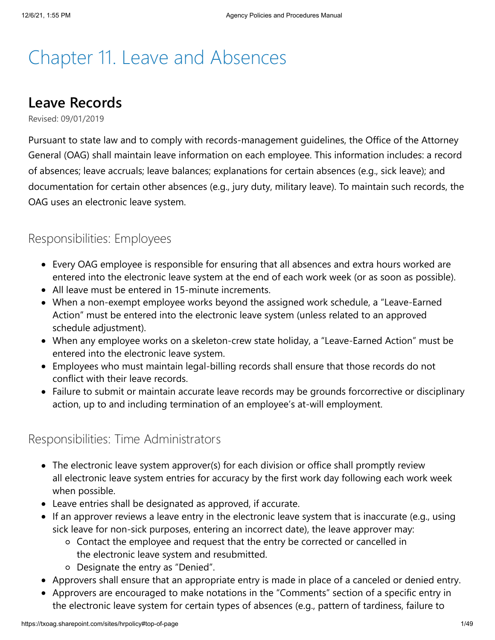# Chapter 11. Leave and Absences

### **Leave Records**

Revised: 09/01/2019

Pursuant to state law and to comply with records-management guidelines, the Office of the Attorney General (OAG) shall maintain leave information on each employee. This information includes: a record of absences; leave accruals; leave balances; explanations for certain absences (e.g., sick leave); and documentation for certain other absences (e.g., jury duty, military leave). To maintain such records, the OAG uses an electronic leave system.

### Responsibilities: Employees

- Every OAG employee is responsible for ensuring that all absences and extra hours worked are entered into the electronic leave system at the end of each work week (or as soon as possible).
- All leave must be entered in 15-minute increments.
- When a non-exempt employee works beyond the assigned work schedule, a "Leave-Earned Action" must be entered into the electronic leave system (unless related to an approved schedule adjustment).
- When any employee works on a skeleton-crew state holiday, a "Leave-Earned Action" must be entered into the electronic leave system.
- Employees who must maintain legal-billing records shall ensure that those records do not conflict with their leave records.
- Failure to submit or maintain accurate leave records may be grounds forcorrective or disciplinary action, up to and including termination of an employee's at-will employment.

### Responsibilities: Time Administrators

- The electronic leave system approver(s) for each division or office shall promptly review all electronic leave system entries for accuracy by the first work day following each work week when possible.
- Leave entries shall be designated as approved, if accurate.
- If an approver reviews a leave entry in the electronic leave system that is inaccurate (e.g., using sick leave for non-sick purposes, entering an incorrect date), the leave approver may:
	- Contact the employee and request that the entry be corrected or cancelled in the electronic leave system and resubmitted.
	- Designate the entry as "Denied".
- Approvers shall ensure that an appropriate entry is made in place of a canceled or denied entry.
- Approvers are encouraged to make notations in the "Comments" section of a specific entry in the electronic leave system for certain types of absences (e.g., pattern of tardiness, failure to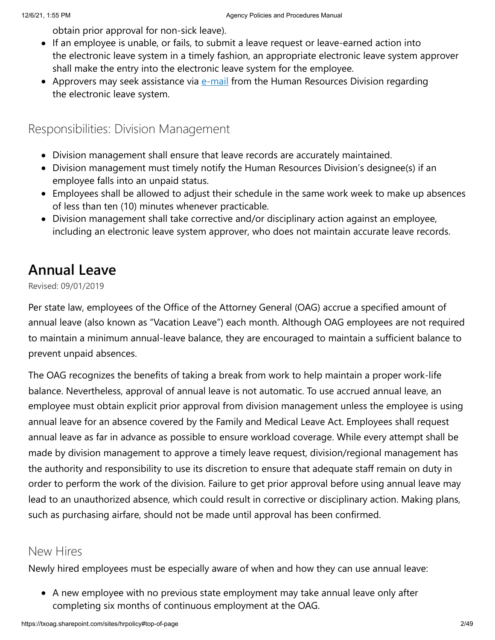obtain prior approval for non-sick leave).

- If an employee is unable, or fails, to submit a leave request or leave-earned action into the electronic leave system in a timely fashion, an appropriate electronic leave system approver shall make the entry into the electronic leave system for the employee.
- Approvers may seek assistance via  $e-mail$  $e-mail$  $e-mail$  from the Human Resources Division regarding</u> the electronic leave system.

Responsibilities: Division Management

- Division management shall ensure that leave records are accurately maintained.
- Division management must timely notify the Human Resources Division's designee(s) if an employee falls into an unpaid status.
- Employees shall be allowed to adjust their schedule in the same work week to make up absences of less than ten (10) minutes whenever practicable.
- Division management shall take corrective and/or disciplinary action against an employee, including an electronic leave system approver, who does not maintain accurate leave records.

### **Annual Leave**

Revised: 09/01/2019

Per state law, employees of the Office of the Attorney General (OAG) accrue a specified amount of annual leave (also known as "Vacation Leave") each month. Although OAG employees are not required to maintain a minimum annual-leave balance, they are encouraged to maintain a sufficient balance to prevent unpaid absences.

The OAG recognizes the benefits of taking a break from work to help maintain a proper work-life balance. Nevertheless, approval of annual leave is not automatic. To use accrued annual leave, an employee must obtain explicit prior approval from division management unless the employee is using annual leave for an absence covered by the Family and Medical Leave Act. Employees shall request annual leave as far in advance as possible to ensure workload coverage. While every attempt shall be made by division management to approve a timely leave request, division/regional management has the authority and responsibility to use its discretion to ensure that adequate staff remain on duty in order to perform the work of the division. Failure to get prior approval before using annual leave may lead to an unauthorized absence, which could result in corrective or disciplinary action. Making plans, such as purchasing airfare, should not be made until approval has been confirmed.

#### New Hires

Newly hired employees must be especially aware of when and how they can use annual leave:

A new employee with no previous state employment may take annual leave only after completing six months of continuous employment at the OAG.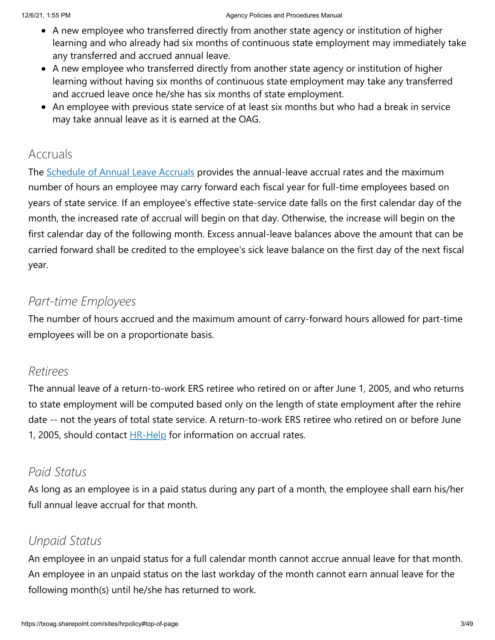- A new employee who transferred directly from another state agency or institution of higher learning and who already had six months of continuous state employment may immediately take any transferred and accrued annual leave.
- A new employee who transferred directly from another state agency or institution of higher learning without having six months of continuous state employment may take any transferred and accrued leave once he/she has six months of state employment.
- An employee with previous state service of at least six months but who had a break in service may take annual leave as it is earned at the OAG.

### Accruals

The **[Schedule of Annual Leave Accruals](https://txoag.sharepoint.com/:b:/r/sites/divisions/Human%20Resources/VacationAccrualsSchedule.pdf?csf=1&e=SnmK6o)** provides the annual-leave accrual rates and the maximum number of hours an employee may carry forward each fiscal year for full-time employees based on years of state service. If an employee's effective state-service date falls on the first calendar day of the month, the increased rate of accrual will begin on that day. Otherwise, the increase will begin on the first calendar day of the following month. Excess annual-leave balances above the amount that can be carried forward shall be credited to the employee's sick leave balance on the first day of the next fiscal year.

### *Part-time Employees*

The number of hours accrued and the maximum amount of carry-forward hours allowed for part-time employees will be on a proportionate basis.

### *Retirees*

The annual leave of a return-to-work ERS retiree who retired on or after June 1, 2005, and who returns to state employment will be computed based only on the length of state employment after the rehire date -- not the years of total state service. A return-to-work ERS retiree who retired on or before June 1, 2005, should contact **[HR-Help](mailto:HR-Help@texasattorneygeneral.gov)** for information on accrual rates.

### *Paid Status*

As long as an employee is in a paid status during any part of a month, the employee shall earn his/her full annual leave accrual for that month.

### *Unpaid Status*

An employee in an unpaid status for a full calendar month cannot accrue annual leave for that month. An employee in an unpaid status on the last workday of the month cannot earn annual leave for the following month(s) until he/she has returned to work.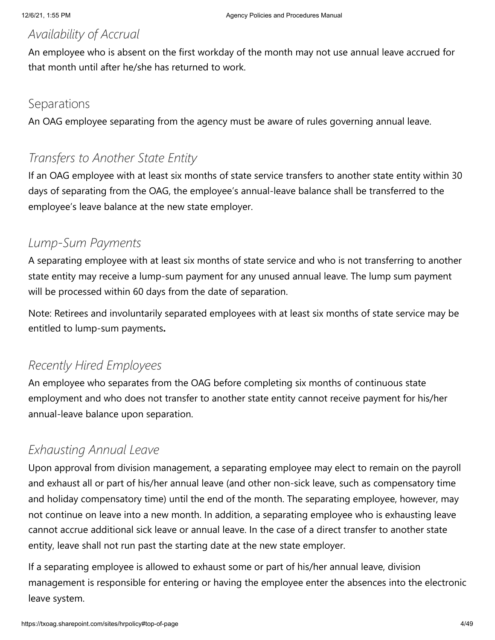### *Availability of Accrual*

An employee who is absent on the first workday of the month may not use annual leave accrued for that month until after he/she has returned to work.

#### Separations

An OAG employee separating from the agency must be aware of rules governing annual leave.

### *Transfers to Another State Entity*

If an OAG employee with at least six months of state service transfers to another state entity within 30 days of separating from the OAG, the employee's annual-leave balance shall be transferred to the employee's leave balance at the new state employer.

### *Lump-Sum Payments*

A separating employee with at least six months of state service and who is not transferring to another state entity may receive a lump-sum payment for any unused annual leave. The lump sum payment will be processed within 60 days from the date of separation.

Note: Retirees and involuntarily separated employees with at least six months of state service may be entitled to lump-sum payments**.**

### *Recently Hired Employees*

An employee who separates from the OAG before completing six months of continuous state employment and who does not transfer to another state entity cannot receive payment for his/her annual-leave balance upon separation.

### *Exhausting Annual Leave*

Upon approval from division management, a separating employee may elect to remain on the payroll and exhaust all or part of his/her annual leave (and other non-sick leave, such as compensatory time and holiday compensatory time) until the end of the month. The separating employee, however, may not continue on leave into a new month. In addition, a separating employee who is exhausting leave cannot accrue additional sick leave or annual leave. In the case of a direct transfer to another state entity, leave shall not run past the starting date at the new state employer.

If a separating employee is allowed to exhaust some or part of his/her annual leave, division management is responsible for entering or having the employee enter the absences into the electronic leave system.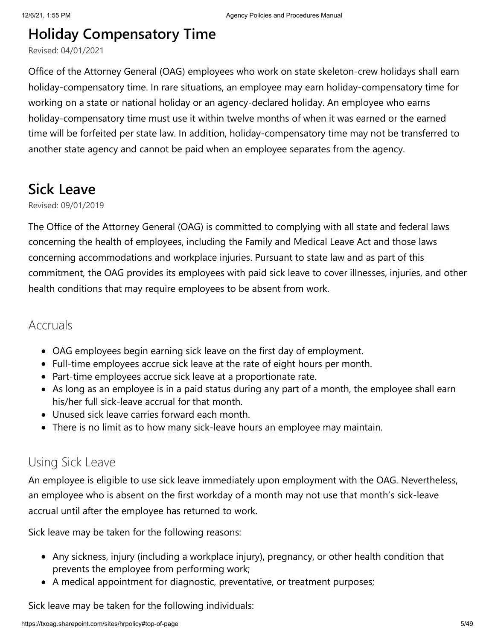# **Holiday Compensatory Time**

Revised: 04/01/2021

Office of the Attorney General (OAG) employees who work on state skeleton-crew holidays shall earn holiday-compensatory time. In rare situations, an employee may earn holiday-compensatory time for working on a state or national holiday or an agency-declared holiday. An employee who earns holiday-compensatory time must use it within twelve months of when it was earned or the earned time will be forfeited per state law. In addition, holiday-compensatory time may not be transferred to another state agency and cannot be paid when an employee separates from the agency.

### **Sick Leave**

Revised: 09/01/2019

The Office of the Attorney General (OAG) is committed to complying with all state and federal laws concerning the health of employees, including the Family and Medical Leave Act and those laws concerning accommodations and workplace injuries. Pursuant to state law and as part of this commitment, the OAG provides its employees with paid sick leave to cover illnesses, injuries, and other health conditions that may require employees to be absent from work.

#### Accruals

- OAG employees begin earning sick leave on the first day of employment.
- Full-time employees accrue sick leave at the rate of eight hours per month.
- Part-time employees accrue sick leave at a proportionate rate.
- As long as an employee is in a paid status during any part of a month, the employee shall earn his/her full sick-leave accrual for that month.
- Unused sick leave carries forward each month.
- There is no limit as to how many sick-leave hours an employee may maintain.

### Using Sick Leave

An employee is eligible to use sick leave immediately upon employment with the OAG. Nevertheless, an employee who is absent on the first workday of a month may not use that month's sick-leave accrual until after the employee has returned to work.

Sick leave may be taken for the following reasons:

- Any sickness, injury (including a workplace injury), pregnancy, or other health condition that prevents the employee from performing work;
- A medical appointment for diagnostic, preventative, or treatment purposes;

Sick leave may be taken for the following individuals: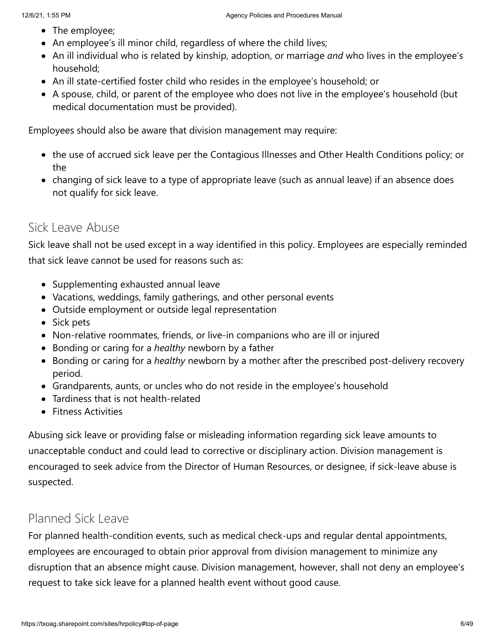- The employee;
- An employee's ill minor child, regardless of where the child lives;
- An ill individual who is related by kinship, adoption, or marriage *and* who lives in the employee's household;
- An ill state-certified foster child who resides in the employee's household; or
- A spouse, child, or parent of the employee who does not live in the employee's household (but medical documentation must be provided).

Employees should also be aware that division management may require:

- the use of accrued sick leave per the Contagious Illnesses and Other Health Conditions policy; or the
- changing of sick leave to a type of appropriate leave (such as annual leave) if an absence does not qualify for sick leave.

### Sick Leave Abuse

Sick leave shall not be used except in a way identified in this policy. Employees are especially reminded that sick leave cannot be used for reasons such as:

- Supplementing exhausted annual leave
- Vacations, weddings, family gatherings, and other personal events
- Outside employment or outside legal representation
- Sick pets
- Non-relative roommates, friends, or live-in companions who are ill or injured
- Bonding or caring for a *healthy* newborn by a father
- Bonding or caring for a *healthy* newborn by a mother after the prescribed post-delivery recovery period.
- Grandparents, aunts, or uncles who do not reside in the employee's household
- Tardiness that is not health-related
- Fitness Activities

Abusing sick leave or providing false or misleading information regarding sick leave amounts to unacceptable conduct and could lead to corrective or disciplinary action. Division management is encouraged to seek advice from the Director of Human Resources, or designee, if sick-leave abuse is suspected.

### Planned Sick Leave

For planned health-condition events, such as medical check-ups and regular dental appointments, employees are encouraged to obtain prior approval from division management to minimize any disruption that an absence might cause. Division management, however, shall not deny an employee's request to take sick leave for a planned health event without good cause.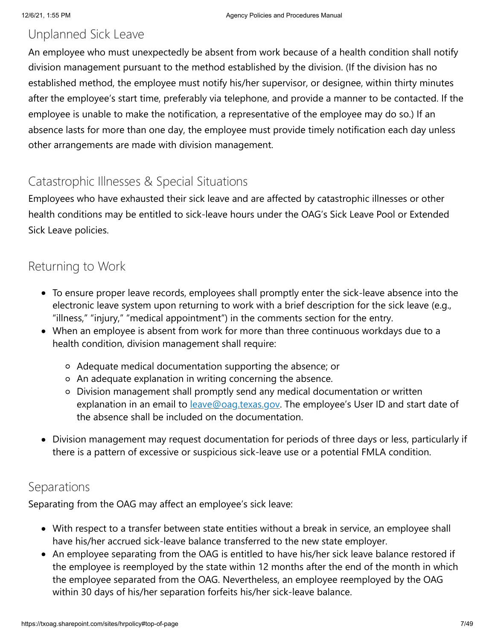### Unplanned Sick Leave

An employee who must unexpectedly be absent from work because of a health condition shall notify division management pursuant to the method established by the division. (If the division has no established method, the employee must notify his/her supervisor, or designee, within thirty minutes after the employee's start time, preferably via telephone, and provide a manner to be contacted. If the employee is unable to make the notification, a representative of the employee may do so.) If an absence lasts for more than one day, the employee must provide timely notification each day unless other arrangements are made with division management.

### Catastrophic Illnesses & Special Situations

Employees who have exhausted their sick leave and are affected by catastrophic illnesses or other health conditions may be entitled to sick-leave hours under the OAG's Sick Leave Pool or Extended Sick Leave policies.

### Returning to Work

- To ensure proper leave records, employees shall promptly enter the sick-leave absence into the electronic leave system upon returning to work with a brief description for the sick leave (e.g., "illness," "injury," "medical appointment") in the comments section for the entry.
- When an employee is absent from work for more than three continuous workdays due to a health condition, division management shall require:
	- Adequate medical documentation supporting the absence; or
	- An adequate explanation in writing concerning the absence.
	- Division management shall promptly send any medical documentation or written explanation in an email to **[leave@oag.texas.gov](mailto:leave@oag.texas.gov).** The employee's User ID and start date of the absence shall be included on the documentation.
- Division management may request documentation for periods of three days or less, particularly if there is a pattern of excessive or suspicious sick-leave use or a potential FMLA condition.

#### Separations

Separating from the OAG may affect an employee's sick leave:

- With respect to a transfer between state entities without a break in service, an employee shall have his/her accrued sick-leave balance transferred to the new state employer.
- An employee separating from the OAG is entitled to have his/her sick leave balance restored if the employee is reemployed by the state within 12 months after the end of the month in which the employee separated from the OAG. Nevertheless, an employee reemployed by the OAG within 30 days of his/her separation forfeits his/her sick-leave balance.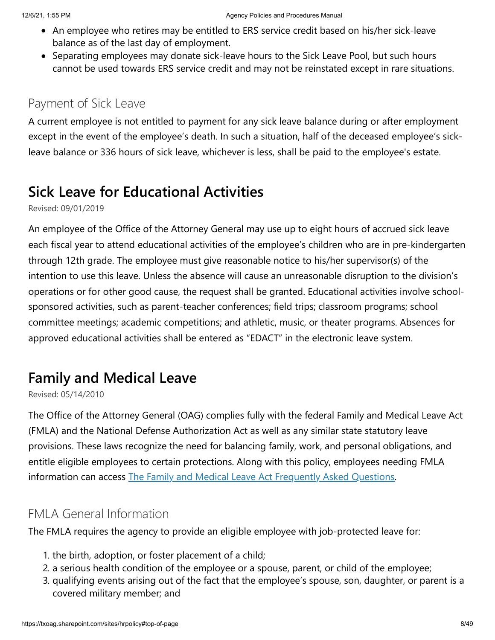- An employee who retires may be entitled to ERS service credit based on his/her sick-leave balance as of the last day of employment.
- Separating employees may donate sick-leave hours to the Sick Leave Pool, but such hours cannot be used towards ERS service credit and may not be reinstated except in rare situations.

### Payment of Sick Leave

A current employee is not entitled to payment for any sick leave balance during or after employment except in the event of the employee's death. In such a situation, half of the deceased employee's sickleave balance or 336 hours of sick leave, whichever is less, shall be paid to the employee's estate.

# **Sick Leave for Educational Activities**

Revised: 09/01/2019

An employee of the Office of the Attorney General may use up to eight hours of accrued sick leave each fiscal year to attend educational activities of the employee's children who are in pre-kindergarten through 12th grade. The employee must give reasonable notice to his/her supervisor(s) of the intention to use this leave. Unless the absence will cause an unreasonable disruption to the division's operations or for other good cause, the request shall be granted. Educational activities involve schoolsponsored activities, such as parent-teacher conferences; field trips; classroom programs; school committee meetings; academic competitions; and athletic, music, or theater programs. Absences for approved educational activities shall be entered as "EDACT" in the electronic leave system.

# **Family and Medical Leave**

Revised: 05/14/2010

The Office of the Attorney General (OAG) complies fully with the federal Family and Medical Leave Act (FMLA) and the National Defense Authorization Act as well as any similar state statutory leave provisions. These laws recognize the need for balancing family, work, and personal obligations, and entitle eligible employees to certain protections. Along with this policy, employees needing FMLA information can access [The Family and Medical Leave Act Frequently Asked Questions](https://txoag.sharepoint.com/:b:/r/sites/divisions/Human%20Resources/FMLA-FAQ.pdf?csf=1&e=8MJ58z).

### FMLA General Information

The FMLA requires the agency to provide an eligible employee with job-protected leave for:

- 1. the birth, adoption, or foster placement of a child;
- 2. a serious health condition of the employee or a spouse, parent, or child of the employee;
- 3. qualifying events arising out of the fact that the employee's spouse, son, daughter, or parent is a covered military member; and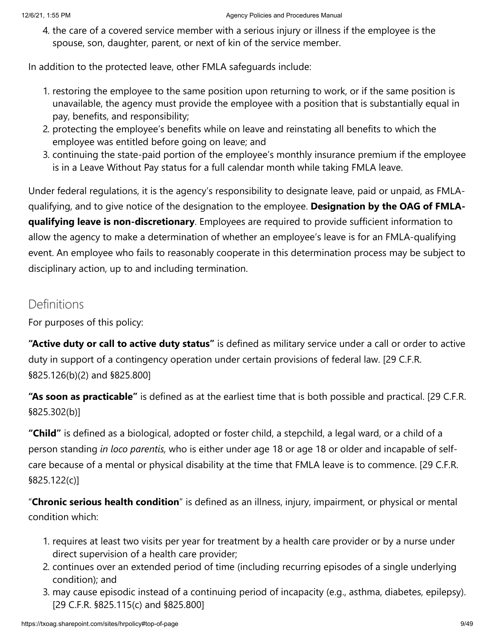4. the care of a covered service member with a serious injury or illness if the employee is the spouse, son, daughter, parent, or next of kin of the service member.

In addition to the protected leave, other FMLA safeguards include:

- 1. restoring the employee to the same position upon returning to work, or if the same position is unavailable, the agency must provide the employee with a position that is substantially equal in pay, benefits, and responsibility;
- 2. protecting the employee's benefits while on leave and reinstating all benefits to which the employee was entitled before going on leave; and
- 3. continuing the state-paid portion of the employee's monthly insurance premium if the employee is in a Leave Without Pay status for a full calendar month while taking FMLA leave.

Under federal regulations, it is the agency's responsibility to designate leave, paid or unpaid, as FMLAqualifying, and to give notice of the designation to the employee. **Designation by the OAG of FMLAqualifying leave is non-discretionary**. Employees are required to provide sufficient information to allow the agency to make a determination of whether an employee's leave is for an FMLA-qualifying event. An employee who fails to reasonably cooperate in this determination process may be subject to disciplinary action, up to and including termination.

### **Definitions**

For purposes of this policy:

**"Active duty or call to active duty status"** is defined as military service under a call or order to active duty in support of a contingency operation under certain provisions of federal law. [29 C.F.R. §825.126(b)(2) and §825.800]

**"As soon as practicable"** is defined as at the earliest time that is both possible and practical. [29 C.F.R. §825.302(b)]

**"Child"** is defined as a biological, adopted or foster child, a stepchild, a legal ward, or a child of a person standing *in loco parentis,* who is either under age 18 or age 18 or older and incapable of selfcare because of a mental or physical disability at the time that FMLA leave is to commence. [29 C.F.R. §825.122(c)]

"**Chronic serious health condition**" is defined as an illness, injury, impairment, or physical or mental condition which:

- 1. requires at least two visits per year for treatment by a health care provider or by a nurse under direct supervision of a health care provider;
- 2. continues over an extended period of time (including recurring episodes of a single underlying condition); and
- 3. may cause episodic instead of a continuing period of incapacity (e.g., asthma, diabetes, epilepsy). [29 C.F.R. §825.115(c) and §825.800]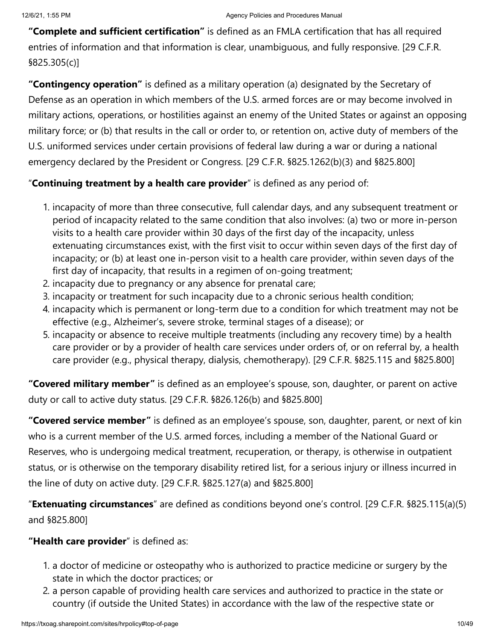**"Complete and sufficient certification"** is defined as an FMLA certification that has all required entries of information and that information is clear, unambiguous, and fully responsive. [29 C.F.R. §825.305(c)]

**"Contingency operation"** is defined as a military operation (a) designated by the Secretary of Defense as an operation in which members of the U.S. armed forces are or may become involved in military actions, operations, or hostilities against an enemy of the United States or against an opposing military force; or (b) that results in the call or order to, or retention on, active duty of members of the U.S. uniformed services under certain provisions of federal law during a war or during a national emergency declared by the President or Congress. [29 C.F.R. §825.1262(b)(3) and §825.800]

#### "**Continuing treatment by a health care provider**" is defined as any period of:

- 1. incapacity of more than three consecutive, full calendar days, and any subsequent treatment or period of incapacity related to the same condition that also involves: (a) two or more in-person visits to a health care provider within 30 days of the first day of the incapacity, unless extenuating circumstances exist, with the first visit to occur within seven days of the first day of incapacity; or (b) at least one in-person visit to a health care provider, within seven days of the first day of incapacity, that results in a regimen of on-going treatment;
- 2. incapacity due to pregnancy or any absence for prenatal care;
- 3. incapacity or treatment for such incapacity due to a chronic serious health condition;
- 4. incapacity which is permanent or long-term due to a condition for which treatment may not be effective (e.g., Alzheimer's, severe stroke, terminal stages of a disease); or
- 5. incapacity or absence to receive multiple treatments (including any recovery time) by a health care provider or by a provider of health care services under orders of, or on referral by, a health care provider (e.g., physical therapy, dialysis, chemotherapy). [29 C.F.R. §825.115 and §825.800]

**"Covered military member"** is defined as an employee's spouse, son, daughter, or parent on active duty or call to active duty status. [29 C.F.R. §826.126(b) and §825.800]

**"Covered service member"** is defined as an employee's spouse, son, daughter, parent, or next of kin who is a current member of the U.S. armed forces, including a member of the National Guard or Reserves, who is undergoing medical treatment, recuperation, or therapy, is otherwise in outpatient status, or is otherwise on the temporary disability retired list, for a serious injury or illness incurred in the line of duty on active duty. [29 C.F.R. §825.127(a) and §825.800]

"**Extenuating circumstances**" are defined as conditions beyond one's control. [29 C.F.R. §825.115(a)(5) and §825.800]

#### **"Health care provider**" is defined as:

- 1. a doctor of medicine or osteopathy who is authorized to practice medicine or surgery by the state in which the doctor practices; or
- 2. a person capable of providing health care services and authorized to practice in the state or country (if outside the United States) in accordance with the law of the respective state or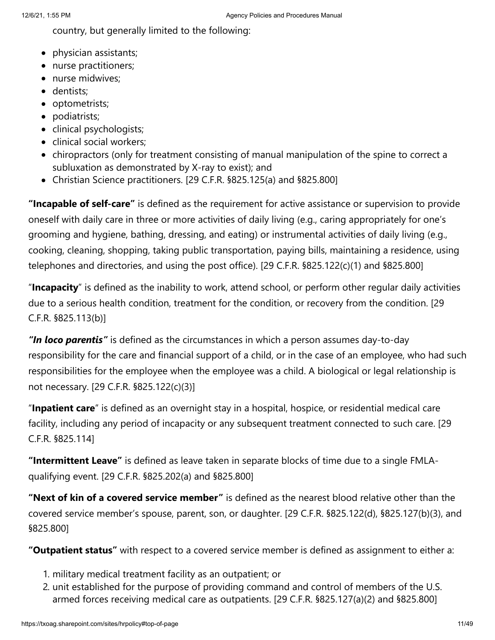country, but generally limited to the following:

- physician assistants;
- nurse practitioners;
- nurse midwives;
- dentists;
- optometrists;
- podiatrists;
- clinical psychologists;
- clinical social workers;
- chiropractors (only for treatment consisting of manual manipulation of the spine to correct a subluxation as demonstrated by X-ray to exist); and
- Christian Science practitioners. [29 C.F.R. §825.125(a) and §825.800]

**"Incapable of self-care"** is defined as the requirement for active assistance or supervision to provide oneself with daily care in three or more activities of daily living (e.g., caring appropriately for one's grooming and hygiene, bathing, dressing, and eating) or instrumental activities of daily living (e.g., cooking, cleaning, shopping, taking public transportation, paying bills, maintaining a residence, using telephones and directories, and using the post office). [29 C.F.R. §825.122(c)(1) and §825.800]

"**Incapacity**" is defined as the inability to work, attend school, or perform other regular daily activities due to a serious health condition, treatment for the condition, or recovery from the condition. [29 C.F.R. §825.113(b)]

*"In loco parentis"* is defined as the circumstances in which a person assumes day-to-day responsibility for the care and financial support of a child, or in the case of an employee, who had such responsibilities for the employee when the employee was a child. A biological or legal relationship is not necessary. [29 C.F.R. §825.122(c)(3)]

"**Inpatient care**" is defined as an overnight stay in a hospital, hospice, or residential medical care facility, including any period of incapacity or any subsequent treatment connected to such care. [29 C.F.R. §825.114]

**"Intermittent Leave"** is defined as leave taken in separate blocks of time due to a single FMLAqualifying event. [29 C.F.R. §825.202(a) and §825.800]

**"Next of kin of a covered service member"** is defined as the nearest blood relative other than the covered service member's spouse, parent, son, or daughter. [29 C.F.R. §825.122(d), §825.127(b)(3), and §825.800]

**"Outpatient status"** with respect to a covered service member is defined as assignment to either a:

- 1. military medical treatment facility as an outpatient; or
- 2. unit established for the purpose of providing command and control of members of the U.S. armed forces receiving medical care as outpatients. [29 C.F.R. §825.127(a)(2) and §825.800]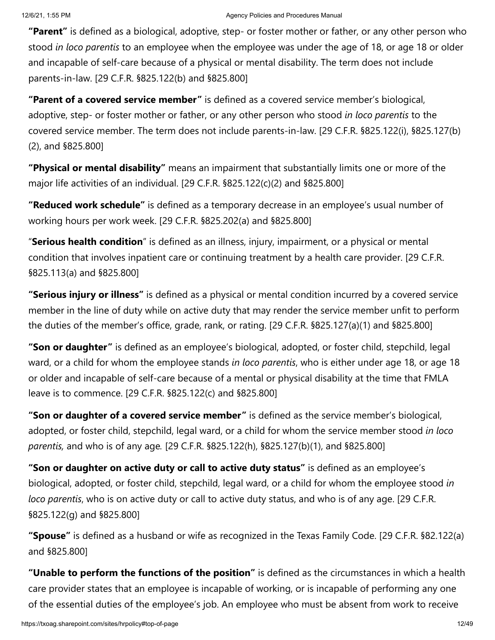**"Parent"** is defined as a biological, adoptive, step- or foster mother or father, or any other person who stood *in loco parentis* to an employee when the employee was under the age of 18, or age 18 or older and incapable of self-care because of a physical or mental disability. The term does not include parents-in-law. [29 C.F.R. §825.122(b) and §825.800]

**"Parent of a covered service member"** is defined as a covered service member's biological, adoptive, step- or foster mother or father, or any other person who stood *in loco parentis* to the covered service member. The term does not include parents-in-law. [29 C.F.R. §825.122(i), §825.127(b) (2), and §825.800]

**"Physical or mental disability"** means an impairment that substantially limits one or more of the major life activities of an individual. [29 C.F.R. §825.122(c)(2) and §825.800]

**"Reduced work schedule"** is defined as a temporary decrease in an employee's usual number of working hours per work week. [29 C.F.R. §825.202(a) and §825.800]

"**Serious health condition**" is defined as an illness, injury, impairment, or a physical or mental condition that involves inpatient care or continuing treatment by a health care provider. [29 C.F.R. §825.113(a) and §825.800]

**"Serious injury or illness"** is defined as a physical or mental condition incurred by a covered service member in the line of duty while on active duty that may render the service member unfit to perform the duties of the member's office, grade, rank, or rating. [29 C.F.R. §825.127(a)(1) and §825.800]

**"Son or daughter"** is defined as an employee's biological, adopted, or foster child, stepchild, legal ward, or a child for whom the employee stands *in loco parentis*, who is either under age 18, or age 18 or older and incapable of self-care because of a mental or physical disability at the time that FMLA leave is to commence. [29 C.F.R. §825.122(c) and §825.800]

**"Son or daughter of a covered service member"** is defined as the service member's biological, adopted, or foster child, stepchild, legal ward, or a child for whom the service member stood *in loco parentis,* and who is of any age*.* [29 C.F.R. §825.122(h), §825.127(b)(1), and §825.800]

**"Son or daughter on active duty or call to active duty status"** is defined as an employee's biological, adopted, or foster child, stepchild, legal ward, or a child for whom the employee stood *in loco parentis*, who is on active duty or call to active duty status, and who is of any age. [29 C.F.R. §825.122(g) and §825.800]

**"Spouse"** is defined as a husband or wife as recognized in the Texas Family Code. [29 C.F.R. §82.122(a) and §825.800]

**"Unable to perform the functions of the position"** is defined as the circumstances in which a health care provider states that an employee is incapable of working, or is incapable of performing any one of the essential duties of the employee's job. An employee who must be absent from work to receive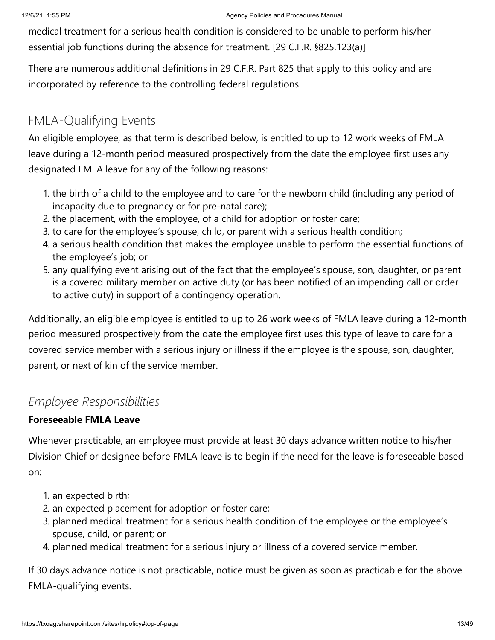medical treatment for a serious health condition is considered to be unable to perform his/her essential job functions during the absence for treatment. [29 C.F.R. §825.123(a)]

There are numerous additional definitions in 29 C.F.R. Part 825 that apply to this policy and are incorporated by reference to the controlling federal regulations.

### FMLA-Qualifying Events

An eligible employee, as that term is described below, is entitled to up to 12 work weeks of FMLA leave during a 12-month period measured prospectively from the date the employee first uses any designated FMLA leave for any of the following reasons:

- 1. the birth of a child to the employee and to care for the newborn child (including any period of incapacity due to pregnancy or for pre-natal care);
- 2. the placement, with the employee, of a child for adoption or foster care;
- 3. to care for the employee's spouse, child, or parent with a serious health condition;
- 4. a serious health condition that makes the employee unable to perform the essential functions of the employee's job; or
- 5. any qualifying event arising out of the fact that the employee's spouse, son, daughter, or parent is a covered military member on active duty (or has been notified of an impending call or order to active duty) in support of a contingency operation.

Additionally, an eligible employee is entitled to up to 26 work weeks of FMLA leave during a 12-month period measured prospectively from the date the employee first uses this type of leave to care for a covered service member with a serious injury or illness if the employee is the spouse, son, daughter, parent, or next of kin of the service member.

### *Employee Responsibilities*

#### **Foreseeable FMLA Leave**

Whenever practicable, an employee must provide at least 30 days advance written notice to his/her Division Chief or designee before FMLA leave is to begin if the need for the leave is foreseeable based on:

- 1. an expected birth;
- 2. an expected placement for adoption or foster care;
- 3. planned medical treatment for a serious health condition of the employee or the employee's spouse, child, or parent; or
- 4. planned medical treatment for a serious injury or illness of a covered service member.

If 30 days advance notice is not practicable, notice must be given as soon as practicable for the above FMLA-qualifying events.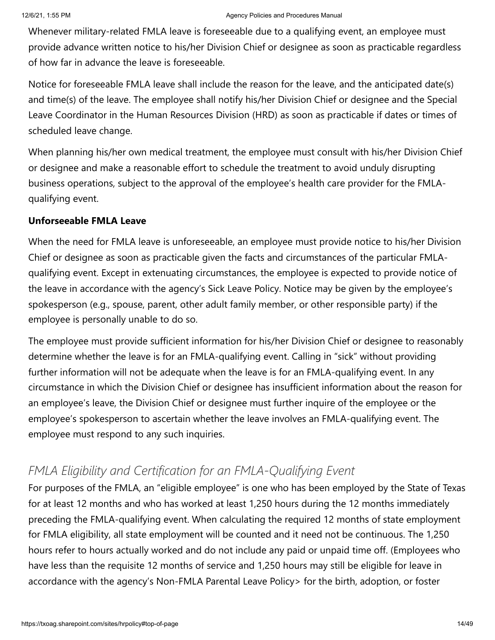Whenever military-related FMLA leave is foreseeable due to a qualifying event, an employee must provide advance written notice to his/her Division Chief or designee as soon as practicable regardless of how far in advance the leave is foreseeable.

Notice for foreseeable FMLA leave shall include the reason for the leave, and the anticipated date(s) and time(s) of the leave. The employee shall notify his/her Division Chief or designee and the Special Leave Coordinator in the Human Resources Division (HRD) as soon as practicable if dates or times of scheduled leave change.

When planning his/her own medical treatment, the employee must consult with his/her Division Chief or designee and make a reasonable effort to schedule the treatment to avoid unduly disrupting business operations, subject to the approval of the employee's health care provider for the FMLAqualifying event.

#### **Unforseeable FMLA Leave**

When the need for FMLA leave is unforeseeable, an employee must provide notice to his/her Division Chief or designee as soon as practicable given the facts and circumstances of the particular FMLAqualifying event. Except in extenuating circumstances, the employee is expected to provide notice of the leave in accordance with the agency's Sick Leave Policy. Notice may be given by the employee's spokesperson (e.g., spouse, parent, other adult family member, or other responsible party) if the employee is personally unable to do so.

The employee must provide sufficient information for his/her Division Chief or designee to reasonably determine whether the leave is for an FMLA-qualifying event. Calling in "sick" without providing further information will not be adequate when the leave is for an FMLA-qualifying event. In any circumstance in which the Division Chief or designee has insufficient information about the reason for an employee's leave, the Division Chief or designee must further inquire of the employee or the employee's spokesperson to ascertain whether the leave involves an FMLA-qualifying event. The employee must respond to any such inquiries.

### *FMLA Eligibility and Certification for an FMLA-Qualifying Event*

For purposes of the FMLA, an "eligible employee" is one who has been employed by the State of Texas for at least 12 months and who has worked at least 1,250 hours during the 12 months immediately preceding the FMLA-qualifying event. When calculating the required 12 months of state employment for FMLA eligibility, all state employment will be counted and it need not be continuous. The 1,250 hours refer to hours actually worked and do not include any paid or unpaid time off. (Employees who have less than the requisite 12 months of service and 1,250 hours may still be eligible for leave in accordance with the agency's Non-FMLA Parental Leave Policy> for the birth, adoption, or foster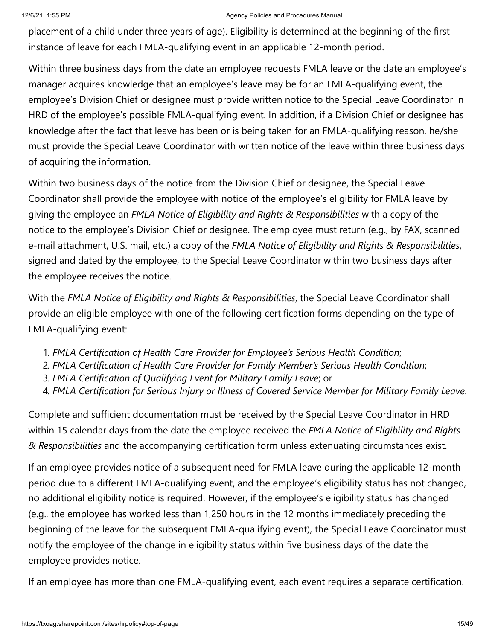#### 12/6/21, 1:55 PM **Agency Policies and Procedures Manual** Agency Policies and Procedures Manual

placement of a child under three years of age). Eligibility is determined at the beginning of the first instance of leave for each FMLA-qualifying event in an applicable 12-month period.

Within three business days from the date an employee requests FMLA leave or the date an employee's manager acquires knowledge that an employee's leave may be for an FMLA-qualifying event, the employee's Division Chief or designee must provide written notice to the Special Leave Coordinator in HRD of the employee's possible FMLA-qualifying event. In addition, if a Division Chief or designee has knowledge after the fact that leave has been or is being taken for an FMLA-qualifying reason, he/she must provide the Special Leave Coordinator with written notice of the leave within three business days of acquiring the information.

Within two business days of the notice from the Division Chief or designee, the Special Leave Coordinator shall provide the employee with notice of the employee's eligibility for FMLA leave by giving the employee an *FMLA Notice of Eligibility and Rights & Responsibilities* with a copy of the notice to the employee's Division Chief or designee. The employee must return (e.g., by FAX, scanned e-mail attachment, U.S. mail, etc.) a copy of the *FMLA Notice of Eligibility and Rights & Responsibilities*, signed and dated by the employee, to the Special Leave Coordinator within two business days after the employee receives the notice.

With the *FMLA Notice of Eligibility and Rights & Responsibilities*, the Special Leave Coordinator shall provide an eligible employee with one of the following certification forms depending on the type of FMLA-qualifying event:

- 1. *FMLA Certification of Health Care Provider for Employee's Serious Health Condition*;
- 2. *FMLA Certification of Health Care Provider for Family Member's Serious Health Condition*;
- 3. *FMLA Certification of Qualifying Event for Military Family Leave*; or
- 4. *FMLA Certification for Serious Injury or Illness of Covered Service Member for Military Family Leave*.

Complete and sufficient documentation must be received by the Special Leave Coordinator in HRD within 15 calendar days from the date the employee received the *FMLA Notice of Eligibility and Rights & Responsibilities* and the accompanying certification form unless extenuating circumstances exist.

If an employee provides notice of a subsequent need for FMLA leave during the applicable 12-month period due to a different FMLA-qualifying event, and the employee's eligibility status has not changed, no additional eligibility notice is required. However, if the employee's eligibility status has changed (e.g., the employee has worked less than 1,250 hours in the 12 months immediately preceding the beginning of the leave for the subsequent FMLA-qualifying event), the Special Leave Coordinator must notify the employee of the change in eligibility status within five business days of the date the employee provides notice.

If an employee has more than one FMLA-qualifying event, each event requires a separate certification.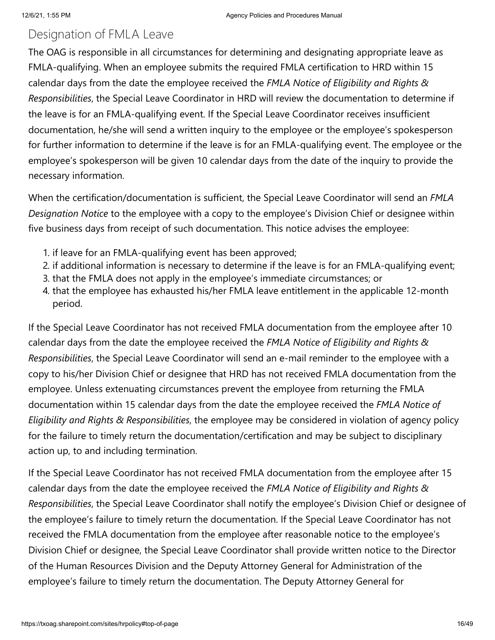### Designation of FMLA Leave

The OAG is responsible in all circumstances for determining and designating appropriate leave as FMLA-qualifying. When an employee submits the required FMLA certification to HRD within 15 calendar days from the date the employee received the *FMLA Notice of Eligibility and Rights & Responsibilities*, the Special Leave Coordinator in HRD will review the documentation to determine if the leave is for an FMLA-qualifying event. If the Special Leave Coordinator receives insufficient documentation, he/she will send a written inquiry to the employee or the employee's spokesperson for further information to determine if the leave is for an FMLA-qualifying event. The employee or the employee's spokesperson will be given 10 calendar days from the date of the inquiry to provide the necessary information.

When the certification/documentation is sufficient, the Special Leave Coordinator will send an *FMLA Designation Notice* to the employee with a copy to the employee's Division Chief or designee within five business days from receipt of such documentation. This notice advises the employee:

- 1. if leave for an FMLA-qualifying event has been approved;
- 2. if additional information is necessary to determine if the leave is for an FMLA-qualifying event;
- 3. that the FMLA does not apply in the employee's immediate circumstances; or
- 4. that the employee has exhausted his/her FMLA leave entitlement in the applicable 12-month period.

If the Special Leave Coordinator has not received FMLA documentation from the employee after 10 calendar days from the date the employee received the *FMLA Notice of Eligibility and Rights & Responsibilities*, the Special Leave Coordinator will send an e-mail reminder to the employee with a copy to his/her Division Chief or designee that HRD has not received FMLA documentation from the employee. Unless extenuating circumstances prevent the employee from returning the FMLA documentation within 15 calendar days from the date the employee received the *FMLA Notice of Eligibility and Rights & Responsibilities*, the employee may be considered in violation of agency policy for the failure to timely return the documentation/certification and may be subject to disciplinary action up, to and including termination.

If the Special Leave Coordinator has not received FMLA documentation from the employee after 15 calendar days from the date the employee received the *FMLA Notice of Eligibility and Rights & Responsibilities*, the Special Leave Coordinator shall notify the employee's Division Chief or designee of the employee's failure to timely return the documentation. If the Special Leave Coordinator has not received the FMLA documentation from the employee after reasonable notice to the employee's Division Chief or designee, the Special Leave Coordinator shall provide written notice to the Director of the Human Resources Division and the Deputy Attorney General for Administration of the employee's failure to timely return the documentation. The Deputy Attorney General for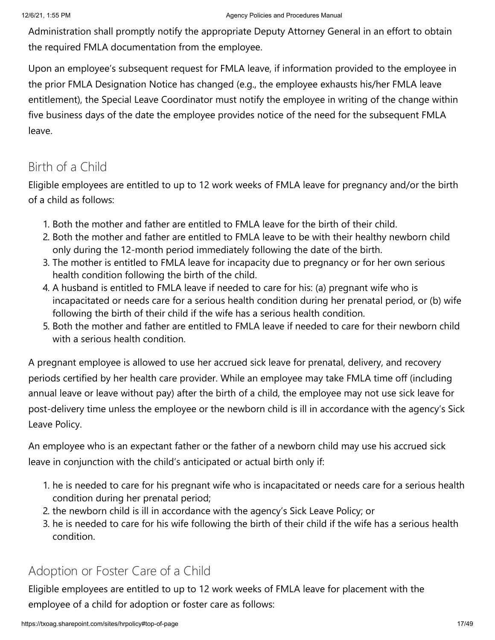Administration shall promptly notify the appropriate Deputy Attorney General in an effort to obtain the required FMLA documentation from the employee.

Upon an employee's subsequent request for FMLA leave, if information provided to the employee in the prior FMLA Designation Notice has changed (e.g., the employee exhausts his/her FMLA leave entitlement), the Special Leave Coordinator must notify the employee in writing of the change within five business days of the date the employee provides notice of the need for the subsequent FMLA leave.

### Birth of a Child

Eligible employees are entitled to up to 12 work weeks of FMLA leave for pregnancy and/or the birth of a child as follows:

- 1. Both the mother and father are entitled to FMLA leave for the birth of their child.
- 2. Both the mother and father are entitled to FMLA leave to be with their healthy newborn child only during the 12-month period immediately following the date of the birth.
- 3. The mother is entitled to FMLA leave for incapacity due to pregnancy or for her own serious health condition following the birth of the child.
- 4. A husband is entitled to FMLA leave if needed to care for his: (a) pregnant wife who is incapacitated or needs care for a serious health condition during her prenatal period, or (b) wife following the birth of their child if the wife has a serious health condition.
- 5. Both the mother and father are entitled to FMLA leave if needed to care for their newborn child with a serious health condition.

A pregnant employee is allowed to use her accrued sick leave for prenatal, delivery, and recovery periods certified by her health care provider. While an employee may take FMLA time off (including annual leave or leave without pay) after the birth of a child, the employee may not use sick leave for post-delivery time unless the employee or the newborn child is ill in accordance with the agency's Sick Leave Policy.

An employee who is an expectant father or the father of a newborn child may use his accrued sick leave in conjunction with the child's anticipated or actual birth only if:

- 1. he is needed to care for his pregnant wife who is incapacitated or needs care for a serious health condition during her prenatal period;
- 2. the newborn child is ill in accordance with the agency's Sick Leave Policy; or
- 3. he is needed to care for his wife following the birth of their child if the wife has a serious health condition.

### Adoption or Foster Care of a Child

Eligible employees are entitled to up to 12 work weeks of FMLA leave for placement with the employee of a child for adoption or foster care as follows: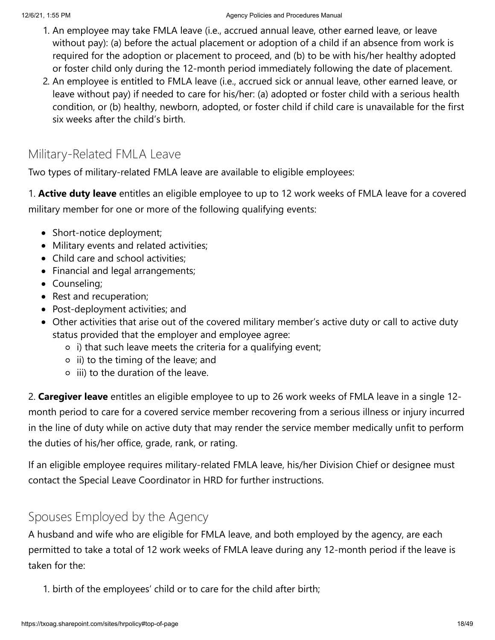- 1. An employee may take FMLA leave (i.e., accrued annual leave, other earned leave, or leave without pay): (a) before the actual placement or adoption of a child if an absence from work is required for the adoption or placement to proceed, and (b) to be with his/her healthy adopted or foster child only during the 12-month period immediately following the date of placement.
- 2. An employee is entitled to FMLA leave (i.e., accrued sick or annual leave, other earned leave, or leave without pay) if needed to care for his/her: (a) adopted or foster child with a serious health condition, or (b) healthy, newborn, adopted, or foster child if child care is unavailable for the first six weeks after the child's birth.

### Military-Related FMLA Leave

Two types of military-related FMLA leave are available to eligible employees:

1. **Active duty leave** entitles an eligible employee to up to 12 work weeks of FMLA leave for a covered military member for one or more of the following qualifying events:

- Short-notice deployment;
- Military events and related activities;
- Child care and school activities;
- Financial and legal arrangements;
- Counseling;
- Rest and recuperation;
- Post-deployment activities; and
- Other activities that arise out of the covered military member's active duty or call to active duty status provided that the employer and employee agree:
	- $\circ$  i) that such leave meets the criteria for a qualifying event;
	- $\circ$  ii) to the timing of the leave; and
	- $\circ$  iii) to the duration of the leave.

2. **Caregiver leave** entitles an eligible employee to up to 26 work weeks of FMLA leave in a single 12 month period to care for a covered service member recovering from a serious illness or injury incurred in the line of duty while on active duty that may render the service member medically unfit to perform the duties of his/her office, grade, rank, or rating.

If an eligible employee requires military-related FMLA leave, his/her Division Chief or designee must contact the Special Leave Coordinator in HRD for further instructions.

### Spouses Employed by the Agency

A husband and wife who are eligible for FMLA leave, and both employed by the agency, are each permitted to take a total of 12 work weeks of FMLA leave during any 12-month period if the leave is taken for the:

1. birth of the employees' child or to care for the child after birth;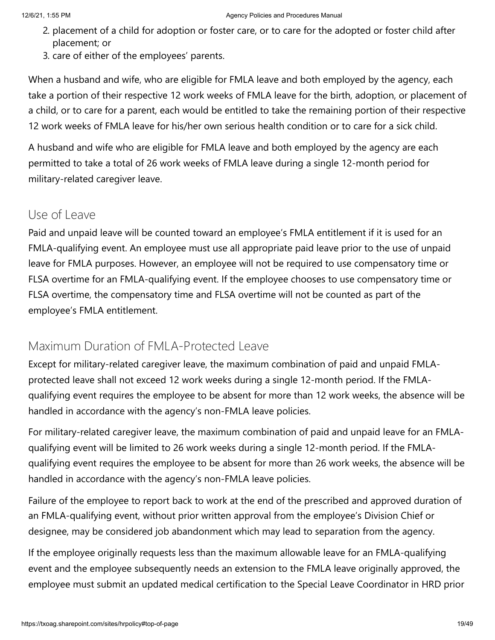- 2. placement of a child for adoption or foster care, or to care for the adopted or foster child after placement; or
- 3. care of either of the employees' parents.

When a husband and wife, who are eligible for FMLA leave and both employed by the agency, each take a portion of their respective 12 work weeks of FMLA leave for the birth, adoption, or placement of a child, or to care for a parent, each would be entitled to take the remaining portion of their respective 12 work weeks of FMLA leave for his/her own serious health condition or to care for a sick child.

A husband and wife who are eligible for FMLA leave and both employed by the agency are each permitted to take a total of 26 work weeks of FMLA leave during a single 12-month period for military-related caregiver leave.

### Use of Leave

Paid and unpaid leave will be counted toward an employee's FMLA entitlement if it is used for an FMLA-qualifying event. An employee must use all appropriate paid leave prior to the use of unpaid leave for FMLA purposes. However, an employee will not be required to use compensatory time or FLSA overtime for an FMLA-qualifying event. If the employee chooses to use compensatory time or FLSA overtime, the compensatory time and FLSA overtime will not be counted as part of the employee's FMLA entitlement.

### Maximum Duration of FMLA-Protected Leave

Except for military-related caregiver leave, the maximum combination of paid and unpaid FMLAprotected leave shall not exceed 12 work weeks during a single 12-month period. If the FMLAqualifying event requires the employee to be absent for more than 12 work weeks, the absence will be handled in accordance with the agency's non-FMLA leave policies.

For military-related caregiver leave, the maximum combination of paid and unpaid leave for an FMLAqualifying event will be limited to 26 work weeks during a single 12-month period. If the FMLAqualifying event requires the employee to be absent for more than 26 work weeks, the absence will be handled in accordance with the agency's non-FMLA leave policies.

Failure of the employee to report back to work at the end of the prescribed and approved duration of an FMLA-qualifying event, without prior written approval from the employee's Division Chief or designee, may be considered job abandonment which may lead to separation from the agency.

If the employee originally requests less than the maximum allowable leave for an FMLA-qualifying event and the employee subsequently needs an extension to the FMLA leave originally approved, the employee must submit an updated medical certification to the Special Leave Coordinator in HRD prior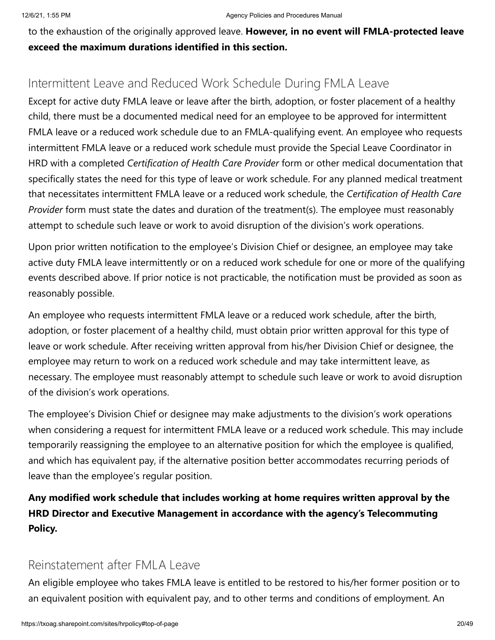to the exhaustion of the originally approved leave. **However, in no event will FMLA-protected leave exceed the maximum durations identified in this section.**

### Intermittent Leave and Reduced Work Schedule During FMLA Leave

Except for active duty FMLA leave or leave after the birth, adoption, or foster placement of a healthy child, there must be a documented medical need for an employee to be approved for intermittent FMLA leave or a reduced work schedule due to an FMLA-qualifying event. An employee who requests intermittent FMLA leave or a reduced work schedule must provide the Special Leave Coordinator in HRD with a completed *Certification of Health Care Provider* form or other medical documentation that specifically states the need for this type of leave or work schedule. For any planned medical treatment that necessitates intermittent FMLA leave or a reduced work schedule, the *Certification of Health Care Provider* form must state the dates and duration of the treatment(s). The employee must reasonably attempt to schedule such leave or work to avoid disruption of the division's work operations.

Upon prior written notification to the employee's Division Chief or designee, an employee may take active duty FMLA leave intermittently or on a reduced work schedule for one or more of the qualifying events described above. If prior notice is not practicable, the notification must be provided as soon as reasonably possible.

An employee who requests intermittent FMLA leave or a reduced work schedule, after the birth, adoption, or foster placement of a healthy child, must obtain prior written approval for this type of leave or work schedule. After receiving written approval from his/her Division Chief or designee, the employee may return to work on a reduced work schedule and may take intermittent leave, as necessary. The employee must reasonably attempt to schedule such leave or work to avoid disruption of the division's work operations.

The employee's Division Chief or designee may make adjustments to the division's work operations when considering a request for intermittent FMLA leave or a reduced work schedule. This may include temporarily reassigning the employee to an alternative position for which the employee is qualified, and which has equivalent pay, if the alternative position better accommodates recurring periods of leave than the employee's regular position.

**Any modified work schedule that includes working at home requires written approval by the HRD Director and Executive Management in accordance with the agency's Telecommuting Policy.**

#### Reinstatement after FMLA Leave

An eligible employee who takes FMLA leave is entitled to be restored to his/her former position or to an equivalent position with equivalent pay, and to other terms and conditions of employment. An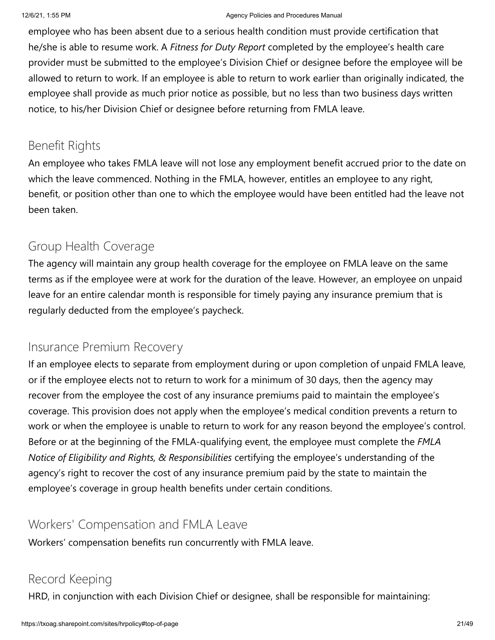employee who has been absent due to a serious health condition must provide certification that he/she is able to resume work. A *Fitness for Duty Report* completed by the employee's health care provider must be submitted to the employee's Division Chief or designee before the employee will be allowed to return to work. If an employee is able to return to work earlier than originally indicated, the employee shall provide as much prior notice as possible, but no less than two business days written notice, to his/her Division Chief or designee before returning from FMLA leave.

### Benefit Rights

An employee who takes FMLA leave will not lose any employment benefit accrued prior to the date on which the leave commenced. Nothing in the FMLA, however, entitles an employee to any right, benefit, or position other than one to which the employee would have been entitled had the leave not been taken.

### Group Health Coverage

The agency will maintain any group health coverage for the employee on FMLA leave on the same terms as if the employee were at work for the duration of the leave. However, an employee on unpaid leave for an entire calendar month is responsible for timely paying any insurance premium that is regularly deducted from the employee's paycheck.

### Insurance Premium Recovery

If an employee elects to separate from employment during or upon completion of unpaid FMLA leave, or if the employee elects not to return to work for a minimum of 30 days, then the agency may recover from the employee the cost of any insurance premiums paid to maintain the employee's coverage. This provision does not apply when the employee's medical condition prevents a return to work or when the employee is unable to return to work for any reason beyond the employee's control. Before or at the beginning of the FMLA-qualifying event, the employee must complete the *FMLA Notice of Eligibility and Rights, & Responsibilities* certifying the employee's understanding of the agency's right to recover the cost of any insurance premium paid by the state to maintain the employee's coverage in group health benefits under certain conditions.

### Workers' Compensation and FMLA Leave

Workers' compensation benefits run concurrently with FMLA leave.

### Record Keeping

HRD, in conjunction with each Division Chief or designee, shall be responsible for maintaining: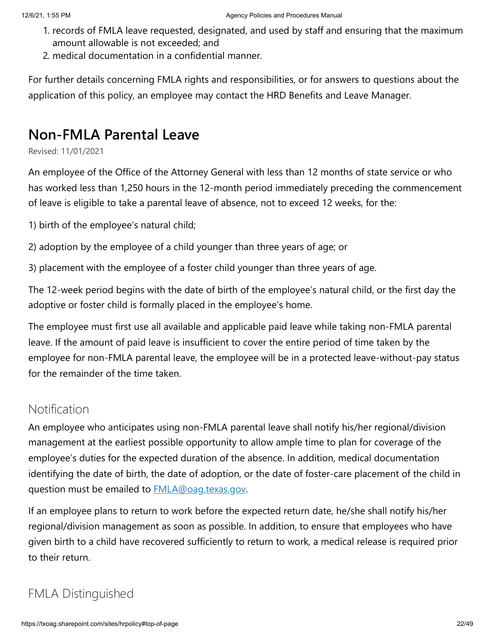- 1. records of FMLA leave requested, designated, and used by staff and ensuring that the maximum amount allowable is not exceeded; and
- 2. medical documentation in a confidential manner.

For further details concerning FMLA rights and responsibilities, or for answers to questions about the application of this policy, an employee may contact the HRD Benefits and Leave Manager.

# **Non-FMLA Parental Leave**

Revised: 11/01/2021

An employee of the Office of the Attorney General with less than 12 months of state service or who has worked less than 1,250 hours in the 12-month period immediately preceding the commencement of leave is eligible to take a parental leave of absence, not to exceed 12 weeks, for the:

1) birth of the employee's natural child;

2) adoption by the employee of a child younger than three years of age; or

3) placement with the employee of a foster child younger than three years of age.

The 12-week period begins with the date of birth of the employee's natural child, or the first day the adoptive or foster child is formally placed in the employee's home.

The employee must first use all available and applicable paid leave while taking non-FMLA parental leave. If the amount of paid leave is insufficient to cover the entire period of time taken by the employee for non-FMLA parental leave, the employee will be in a protected leave-without-pay status for the remainder of the time taken.

### **Notification**

An employee who anticipates using non-FMLA parental leave shall notify his/her regional/division management at the earliest possible opportunity to allow ample time to plan for coverage of the employee's duties for the expected duration of the absence. In addition, medical documentation identifying the date of birth, the date of adoption, or the date of foster-care placement of the child in question must be emailed to **[FMLA@oag.texas.gov](mailto:%20FMLA@oag.texas.gov)**.

If an employee plans to return to work before the expected return date, he/she shall notify his/her regional/division management as soon as possible. In addition, to ensure that employees who have given birth to a child have recovered sufficiently to return to work, a medical release is required prior to their return.

### FMLA Distinguished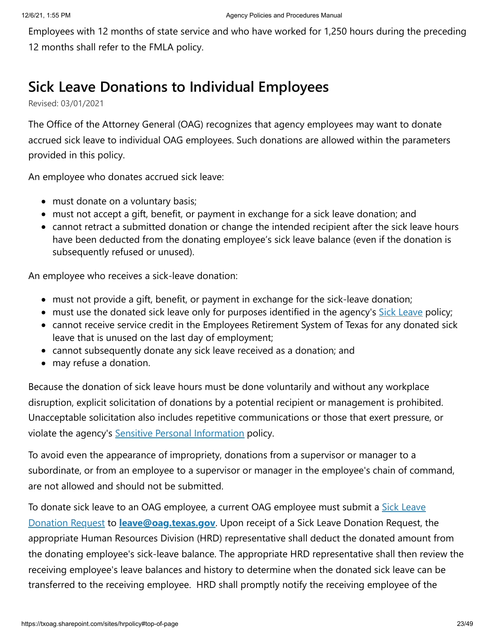Employees with 12 months of state service and who have worked for 1,250 hours during the preceding 12 months shall refer to the FMLA policy.

### **Sick Leave Donations to Individual Employees**

Revised: 03/01/2021

The Office of the Attorney General (OAG) recognizes that agency employees may want to donate accrued sick leave to individual OAG employees. Such donations are allowed within the parameters provided in this policy.

An employee who donates accrued sick leave:

- must donate on a voluntary basis;
- must not accept a gift, benefit, or payment in exchange for a sick leave donation; and
- cannot retract a submitted donation or change the intended recipient after the sick leave hours have been deducted from the donating employee's sick leave balance (even if the donation is subsequently refused or unused).

An employee who receives a sick-leave donation:

- must not provide a gift, benefit, or payment in exchange for the sick-leave donation;
- must use the donated sick leave only for purposes identified in the agency's [Sick Leave](https://txoag.sharepoint.com/sites/hr-team/Shared%20Documents/_Division-Wide%20Collaboration/Policies/1_On%20Radar/15_Sick%20Leave%20Donations/Drafts/ss) policy;
- cannot receive service credit in the Employees Retirement System of Texas for any donated sick leave that is unused on the last day of employment;
- cannot subsequently donate any sick leave received as a donation; and
- may refuse a donation.

Because the donation of sick leave hours must be done voluntarily and without any workplace disruption, explicit solicitation of donations by a potential recipient or management is prohibited. Unacceptable solicitation also includes repetitive communications or those that exert pressure, or violate the agency's **[Sensitive Personal Information](https://txoag.sharepoint.com/sites/hr-team/Shared%20Documents/_Division-Wide%20Collaboration/Policies/1_On%20Radar/15_Sick%20Leave%20Donations/Drafts/ss)** policy.

To avoid even the appearance of impropriety, donations from a supervisor or manager to a subordinate, or from an employee to a supervisor or manager in the employee's chain of command, are not allowed and should not be submitted.

[To donate sick leave to an OAG employee, a current OAG employee must submit a](https://txoag.sharepoint.com/:u:/s/divisions/ET6dGHaEKbVBn4zfLQYQUtEB40PaKFfOa6kZAGunZ8XAjw?e=DdWwto) Sick Leave Donation Request to **[leave@oag.texas.gov](https://txoag.sharepoint.com/sites/forms/Lists/OAG%20Forms/DispForm.aspx?ID=75&e=dpt3w0%3E%20%20%20%20%20%20%20%20%20%20%20%20%20%3Cstrong%3ESick%20Leave%20Donation%20Form%3C/strong%3E%3C/a%3E%20to%20%20%20%20%20%20%20%20%20%20%3Ca%20title=)**. Upon receipt of a Sick Leave Donation Request, the appropriate Human Resources Division (HRD) representative shall deduct the donated amount from the donating employee's sick-leave balance. The appropriate HRD representative shall then review the receiving employee's leave balances and history to determine when the donated sick leave can be transferred to the receiving employee. HRD shall promptly notify the receiving employee of the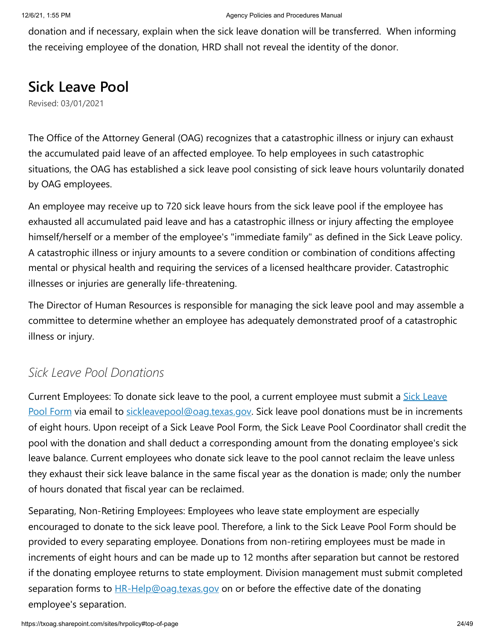donation and if necessary, explain when the sick leave donation will be transferred. When informing the receiving employee of the donation, HRD shall not reveal the identity of the donor.

### **Sick Leave Pool**

Revised: 03/01/2021

The Office of the Attorney General (OAG) recognizes that a catastrophic illness or injury can exhaust the accumulated paid leave of an affected employee. To help employees in such catastrophic situations, the OAG has established a sick leave pool consisting of sick leave hours voluntarily donated by OAG employees.

An employee may receive up to 720 sick leave hours from the sick leave pool if the employee has exhausted all accumulated paid leave and has a catastrophic illness or injury affecting the employee himself/herself or a member of the employee's "immediate family" as defined in the Sick Leave policy. A catastrophic illness or injury amounts to a severe condition or combination of conditions affecting mental or physical health and requiring the services of a licensed healthcare provider. Catastrophic illnesses or injuries are generally life-threatening.

The Director of Human Resources is responsible for managing the sick leave pool and may assemble a committee to determine whether an employee has adequately demonstrated proof of a catastrophic illness or injury.

### *Sick Leave Pool Donations*

[Current Employees: To donate sick leave to the pool, a current employee must submit a Sick Leave](https://txoag.sharepoint.com/:u:/s/divisions/EfUEFCl6GUxMqzynPbooOXkBpL8IVAYwYfUHGkXL6ytU0Q?e=Vq9AVx) Pool Form via email to [sickleavepool@oag.texas.gov](mailto:sickleavepool@oag.texas.gov). Sick leave pool donations must be in increments of eight hours. Upon receipt of a Sick Leave Pool Form, the Sick Leave Pool Coordinator shall credit the pool with the donation and shall deduct a corresponding amount from the donating employee's sick leave balance. Current employees who donate sick leave to the pool cannot reclaim the leave unless they exhaust their sick leave balance in the same fiscal year as the donation is made; only the number of hours donated that fiscal year can be reclaimed.

Separating, Non-Retiring Employees: Employees who leave state employment are especially encouraged to donate to the sick leave pool. Therefore, a link to the Sick Leave Pool Form should be provided to every separating employee. Donations from non-retiring employees must be made in increments of eight hours and can be made up to 12 months after separation but cannot be restored if the donating employee returns to state employment. Division management must submit completed separation forms to **HR-Help@oag.texas.gov** on or before the effective date of the donating employee's separation.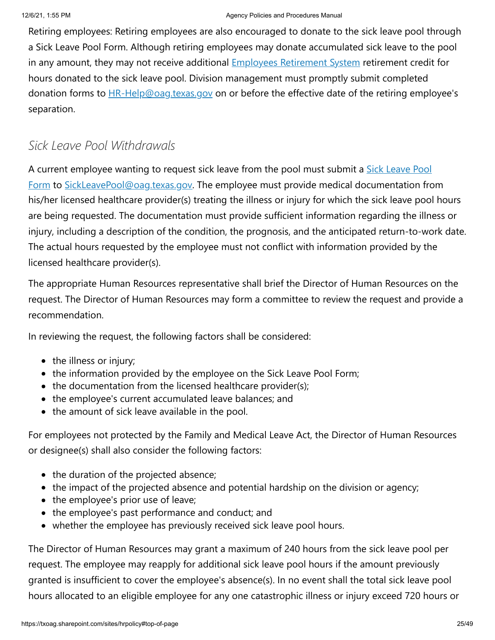Retiring employees: Retiring employees are also encouraged to donate to the sick leave pool through a Sick Leave Pool Form. Although retiring employees may donate accumulated sick leave to the pool in any amount, they may not receive additional **Employees Retirement System** retirement credit for hours donated to the sick leave pool. Division management must promptly submit completed donation forms to  $HR-Help@oaq,texas.gov$  on or before the effective date of the retiring employee's separation.

### *Sick Leave Pool Withdrawals*

[A current employee wanting to request sick leave from the pool must submit a Sick Leave Pool](https://txoag.sharepoint.com/:u:/s/divisions/EfUEFCl6GUxMqzynPbooOXkBpL8IVAYwYfUHGkXL6ytU0Q?e=Vq9AVx) Form to [SickLeavePool@oag.texas.gov.](mailto:SickLeavePool@oag.texas.gov) The employee must provide medical documentation from his/her licensed healthcare provider(s) treating the illness or injury for which the sick leave pool hours are being requested. The documentation must provide sufficient information regarding the illness or injury, including a description of the condition, the prognosis, and the anticipated return-to-work date. The actual hours requested by the employee must not conflict with information provided by the licensed healthcare provider(s).

The appropriate Human Resources representative shall brief the Director of Human Resources on the request. The Director of Human Resources may form a committee to review the request and provide a recommendation.

In reviewing the request, the following factors shall be considered:

- the illness or injury;
- the information provided by the employee on the Sick Leave Pool Form;
- the documentation from the licensed healthcare provider(s);
- the employee's current accumulated leave balances; and
- the amount of sick leave available in the pool.

For employees not protected by the Family and Medical Leave Act, the Director of Human Resources or designee(s) shall also consider the following factors:

- the duration of the projected absence;
- the impact of the projected absence and potential hardship on the division or agency;
- $\bullet$  the employee's prior use of leave;
- the employee's past performance and conduct; and
- whether the employee has previously received sick leave pool hours.

The Director of Human Resources may grant a maximum of 240 hours from the sick leave pool per request. The employee may reapply for additional sick leave pool hours if the amount previously granted is insufficient to cover the employee's absence(s). In no event shall the total sick leave pool hours allocated to an eligible employee for any one catastrophic illness or injury exceed 720 hours or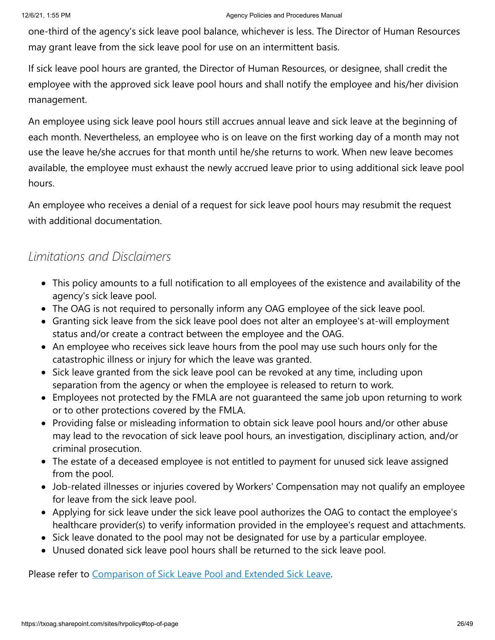one-third of the agency's sick leave pool balance, whichever is less. The Director of Human Resources may grant leave from the sick leave pool for use on an intermittent basis.

If sick leave pool hours are granted, the Director of Human Resources, or designee, shall credit the employee with the approved sick leave pool hours and shall notify the employee and his/her division management.

An employee using sick leave pool hours still accrues annual leave and sick leave at the beginning of each month. Nevertheless, an employee who is on leave on the first working day of a month may not use the leave he/she accrues for that month until he/she returns to work. When new leave becomes available, the employee must exhaust the newly accrued leave prior to using additional sick leave pool hours.

An employee who receives a denial of a request for sick leave pool hours may resubmit the request with additional documentation.

### *Limitations and Disclaimers*

- This policy amounts to a full notification to all employees of the existence and availability of the agency's sick leave pool.
- The OAG is not required to personally inform any OAG employee of the sick leave pool.
- Granting sick leave from the sick leave pool does not alter an employee's at-will employment status and/or create a contract between the employee and the OAG.
- An employee who receives sick leave hours from the pool may use such hours only for the catastrophic illness or injury for which the leave was granted.
- Sick leave granted from the sick leave pool can be revoked at any time, including upon separation from the agency or when the employee is released to return to work.
- Employees not protected by the FMLA are not guaranteed the same job upon returning to work or to other protections covered by the FMLA.
- Providing false or misleading information to obtain sick leave pool hours and/or other abuse may lead to the revocation of sick leave pool hours, an investigation, disciplinary action, and/or criminal prosecution.
- The estate of a deceased employee is not entitled to payment for unused sick leave assigned from the pool.
- Job-related illnesses or injuries covered by Workers' Compensation may not qualify an employee for leave from the sick leave pool.
- Applying for sick leave under the sick leave pool authorizes the OAG to contact the employee's healthcare provider(s) to verify information provided in the employee's request and attachments.
- Sick leave donated to the pool may not be designated for use by a particular employee.
- Unused donated sick leave pool hours shall be returned to the sick leave pool.

Please refer to [Comparison of Sick Leave Pool and Extended Sick Leave](https://txoag.sharepoint.com/:w:/r/sites/divisions/Human%20Resources/SickLeavePool.docx?d=w3594950cc7494d3d80cee48ab57ff4d9&csf=1&e=E1QNg3).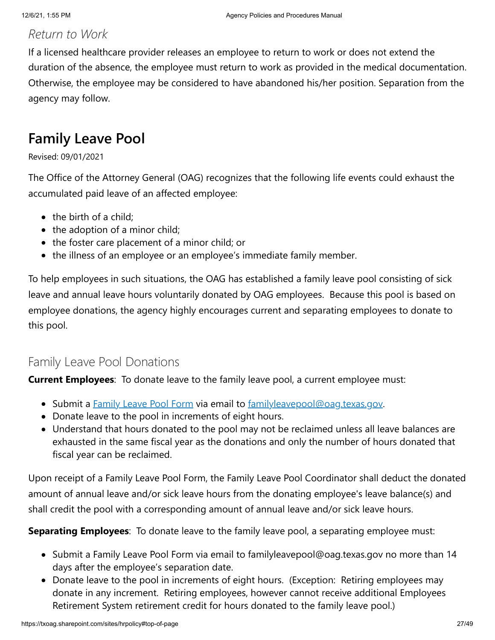### *Return to Work*

If a licensed healthcare provider releases an employee to return to work or does not extend the duration of the absence, the employee must return to work as provided in the medical documentation. Otherwise, the employee may be considered to have abandoned his/her position. Separation from the agency may follow.

# **Family Leave Pool**

Revised: 09/01/2021

The Office of the Attorney General (OAG) recognizes that the following life events could exhaust the accumulated paid leave of an affected employee:

- $\bullet$  the birth of a child;
- $\bullet$  the adoption of a minor child;
- the foster care placement of a minor child; or
- the illness of an employee or an employee's immediate family member.

To help employees in such situations, the OAG has established a family leave pool consisting of sick leave and annual leave hours voluntarily donated by OAG employees. Because this pool is based on employee donations, the agency highly encourages current and separating employees to donate to this pool.

### Family Leave Pool Donations

**Current Employees**: To donate leave to the family leave pool, a current employee must:

- Submit a [Family Leave Pool Form](https://txoag.sharepoint.com/:u:/r/sites/divisions/Human%20Resources/Family%20Leave%20Pool%20Form.oft?csf=1&web=1&e=rFWbk3) via email to [familyleavepool@oag.texas.gov.](mailto:%20familyleavepool@oag.texas.gov)
- Donate leave to the pool in increments of eight hours.
- Understand that hours donated to the pool may not be reclaimed unless all leave balances are exhausted in the same fiscal year as the donations and only the number of hours donated that fiscal year can be reclaimed.

Upon receipt of a Family Leave Pool Form, the Family Leave Pool Coordinator shall deduct the donated amount of annual leave and/or sick leave hours from the donating employee's leave balance(s) and shall credit the pool with a corresponding amount of annual leave and/or sick leave hours.

**Separating Employees**: To donate leave to the family leave pool, a separating employee must:

- Submit a Family Leave Pool Form via email to familyleavepool@oag.texas.gov no more than 14 days after the employee's separation date.
- Donate leave to the pool in increments of eight hours. (Exception: Retiring employees may donate in any increment. Retiring employees, however cannot receive additional Employees Retirement System retirement credit for hours donated to the family leave pool.)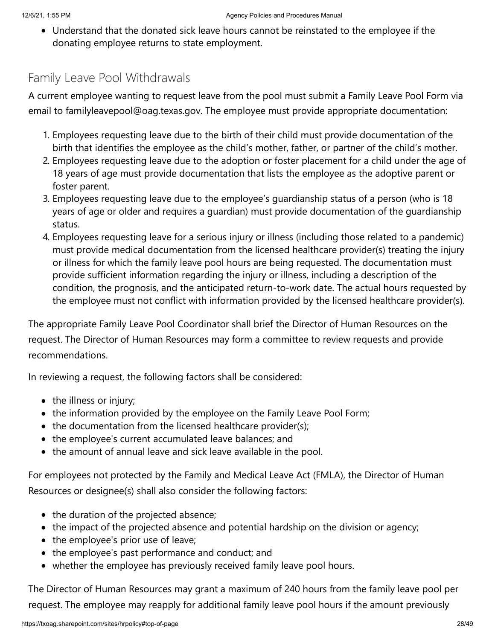Understand that the donated sick leave hours cannot be reinstated to the employee if the donating employee returns to state employment.

### Family Leave Pool Withdrawals

A current employee wanting to request leave from the pool must submit a Family Leave Pool Form via email to familyleavepool@oag.texas.gov. The employee must provide appropriate documentation:

- 1. Employees requesting leave due to the birth of their child must provide documentation of the birth that identifies the employee as the child's mother, father, or partner of the child's mother.
- 2. Employees requesting leave due to the adoption or foster placement for a child under the age of 18 years of age must provide documentation that lists the employee as the adoptive parent or foster parent.
- 3. Employees requesting leave due to the employee's guardianship status of a person (who is 18 years of age or older and requires a guardian) must provide documentation of the guardianship status.
- 4. Employees requesting leave for a serious injury or illness (including those related to a pandemic) must provide medical documentation from the licensed healthcare provider(s) treating the injury or illness for which the family leave pool hours are being requested. The documentation must provide sufficient information regarding the injury or illness, including a description of the condition, the prognosis, and the anticipated return-to-work date. The actual hours requested by the employee must not conflict with information provided by the licensed healthcare provider(s).

The appropriate Family Leave Pool Coordinator shall brief the Director of Human Resources on the request. The Director of Human Resources may form a committee to review requests and provide recommendations.

In reviewing a request, the following factors shall be considered:

- $\bullet$  the illness or injury;
- the information provided by the employee on the Family Leave Pool Form;
- $\bullet$  the documentation from the licensed healthcare provider(s);
- the employee's current accumulated leave balances; and
- the amount of annual leave and sick leave available in the pool.

For employees not protected by the Family and Medical Leave Act (FMLA), the Director of Human Resources or designee(s) shall also consider the following factors:

- the duration of the projected absence;
- the impact of the projected absence and potential hardship on the division or agency;
- the employee's prior use of leave;
- the employee's past performance and conduct; and
- whether the employee has previously received family leave pool hours.

The Director of Human Resources may grant a maximum of 240 hours from the family leave pool per request. The employee may reapply for additional family leave pool hours if the amount previously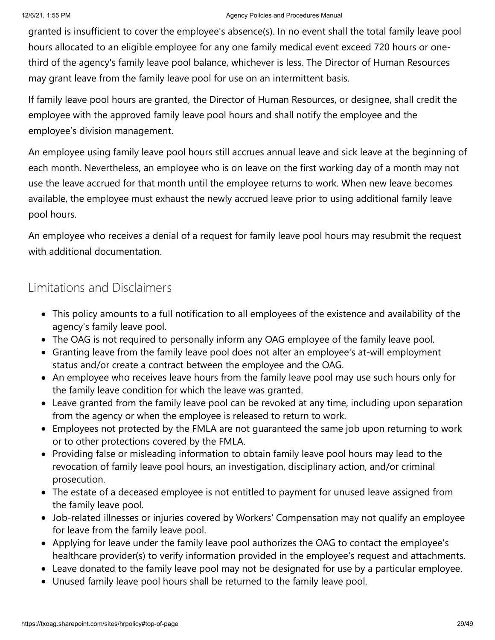granted is insufficient to cover the employee's absence(s). In no event shall the total family leave pool hours allocated to an eligible employee for any one family medical event exceed 720 hours or onethird of the agency's family leave pool balance, whichever is less. The Director of Human Resources may grant leave from the family leave pool for use on an intermittent basis.

If family leave pool hours are granted, the Director of Human Resources, or designee, shall credit the employee with the approved family leave pool hours and shall notify the employee and the employee's division management.

An employee using family leave pool hours still accrues annual leave and sick leave at the beginning of each month. Nevertheless, an employee who is on leave on the first working day of a month may not use the leave accrued for that month until the employee returns to work. When new leave becomes available, the employee must exhaust the newly accrued leave prior to using additional family leave pool hours.

An employee who receives a denial of a request for family leave pool hours may resubmit the request with additional documentation.

### Limitations and Disclaimers

- This policy amounts to a full notification to all employees of the existence and availability of the agency's family leave pool.
- The OAG is not required to personally inform any OAG employee of the family leave pool.
- Granting leave from the family leave pool does not alter an employee's at-will employment status and/or create a contract between the employee and the OAG.
- An employee who receives leave hours from the family leave pool may use such hours only for the family leave condition for which the leave was granted.
- Leave granted from the family leave pool can be revoked at any time, including upon separation from the agency or when the employee is released to return to work.
- Employees not protected by the FMLA are not guaranteed the same job upon returning to work or to other protections covered by the FMLA.
- Providing false or misleading information to obtain family leave pool hours may lead to the revocation of family leave pool hours, an investigation, disciplinary action, and/or criminal prosecution.
- The estate of a deceased employee is not entitled to payment for unused leave assigned from the family leave pool.
- Job-related illnesses or injuries covered by Workers' Compensation may not qualify an employee for leave from the family leave pool.
- Applying for leave under the family leave pool authorizes the OAG to contact the employee's healthcare provider(s) to verify information provided in the employee's request and attachments.
- Leave donated to the family leave pool may not be designated for use by a particular employee.
- Unused family leave pool hours shall be returned to the family leave pool.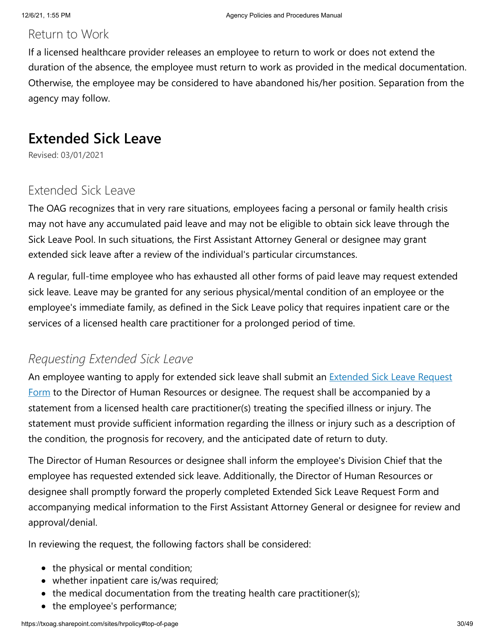### Return to Work

If a licensed healthcare provider releases an employee to return to work or does not extend the duration of the absence, the employee must return to work as provided in the medical documentation. Otherwise, the employee may be considered to have abandoned his/her position. Separation from the agency may follow.

### **Extended Sick Leave**

Revised: 03/01/2021

### Extended Sick Leave

The OAG recognizes that in very rare situations, employees facing a personal or family health crisis may not have any accumulated paid leave and may not be eligible to obtain sick leave through the Sick Leave Pool. In such situations, the First Assistant Attorney General or designee may grant extended sick leave after a review of the individual's particular circumstances.

A regular, full-time employee who has exhausted all other forms of paid leave may request extended sick leave. Leave may be granted for any serious physical/mental condition of an employee or the employee's immediate family, as defined in the Sick Leave policy that requires inpatient care or the services of a licensed health care practitioner for a prolonged period of time.

### *Requesting Extended Sick Leave*

An employee wanting to apply for extended sick leave shall submit an **Extended Sick Leave Request** Form [to the Director of Human Resources or designee. The request shall be accompanied by a](https://txoag.sharepoint.com/:u:/s/divisions/Ef-nlWkGMmRDqNt4F8IusEwBZc77vBMZLWVCTPJd-JcGig?e=XXno53) statement from a licensed health care practitioner(s) treating the specified illness or injury. The statement must provide sufficient information regarding the illness or injury such as a description of the condition, the prognosis for recovery, and the anticipated date of return to duty.

The Director of Human Resources or designee shall inform the employee's Division Chief that the employee has requested extended sick leave. Additionally, the Director of Human Resources or designee shall promptly forward the properly completed Extended Sick Leave Request Form and accompanying medical information to the First Assistant Attorney General or designee for review and approval/denial.

In reviewing the request, the following factors shall be considered:

- the physical or mental condition;
- whether inpatient care is/was required;
- the medical documentation from the treating health care practitioner(s);
- the employee's performance;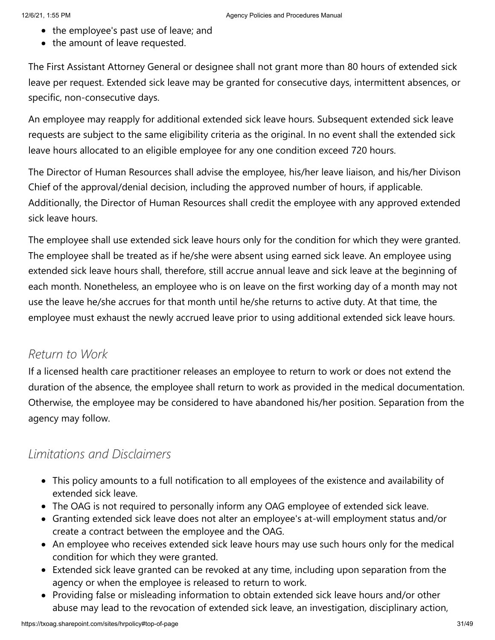- the employee's past use of leave; and
- the amount of leave requested.

The First Assistant Attorney General or designee shall not grant more than 80 hours of extended sick leave per request. Extended sick leave may be granted for consecutive days, intermittent absences, or specific, non-consecutive days.

An employee may reapply for additional extended sick leave hours. Subsequent extended sick leave requests are subject to the same eligibility criteria as the original. In no event shall the extended sick leave hours allocated to an eligible employee for any one condition exceed 720 hours.

The Director of Human Resources shall advise the employee, his/her leave liaison, and his/her Divison Chief of the approval/denial decision, including the approved number of hours, if applicable. Additionally, the Director of Human Resources shall credit the employee with any approved extended sick leave hours.

The employee shall use extended sick leave hours only for the condition for which they were granted. The employee shall be treated as if he/she were absent using earned sick leave. An employee using extended sick leave hours shall, therefore, still accrue annual leave and sick leave at the beginning of each month. Nonetheless, an employee who is on leave on the first working day of a month may not use the leave he/she accrues for that month until he/she returns to active duty. At that time, the employee must exhaust the newly accrued leave prior to using additional extended sick leave hours.

### *Return to Work*

If a licensed health care practitioner releases an employee to return to work or does not extend the duration of the absence, the employee shall return to work as provided in the medical documentation. Otherwise, the employee may be considered to have abandoned his/her position. Separation from the agency may follow.

### *Limitations and Disclaimers*

- This policy amounts to a full notification to all employees of the existence and availability of extended sick leave.
- The OAG is not required to personally inform any OAG employee of extended sick leave.
- Granting extended sick leave does not alter an employee's at-will employment status and/or create a contract between the employee and the OAG.
- An employee who receives extended sick leave hours may use such hours only for the medical condition for which they were granted.
- Extended sick leave granted can be revoked at any time, including upon separation from the agency or when the employee is released to return to work.
- Providing false or misleading information to obtain extended sick leave hours and/or other abuse may lead to the revocation of extended sick leave, an investigation, disciplinary action,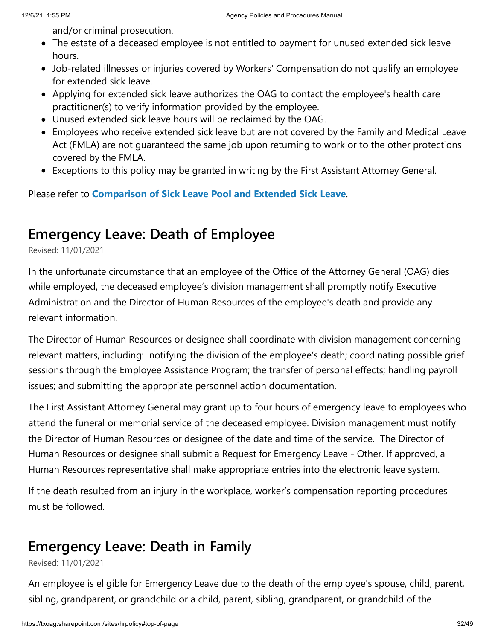and/or criminal prosecution.

- The estate of a deceased employee is not entitled to payment for unused extended sick leave hours.
- Job-related illnesses or injuries covered by Workers' Compensation do not qualify an employee for extended sick leave.
- Applying for extended sick leave authorizes the OAG to contact the employee's health care practitioner(s) to verify information provided by the employee.
- Unused extended sick leave hours will be reclaimed by the OAG.
- Employees who receive extended sick leave but are not covered by the Family and Medical Leave Act (FMLA) are not guaranteed the same job upon returning to work or to the other protections covered by the FMLA.
- Exceptions to this policy may be granted in writing by the First Assistant Attorney General.

Please refer to **[Comparison of Sick Leave Pool and Extended Sick Leave](https://txoag.sharepoint.com/:w:/r/sites/divisions/Human%20Resources/SickLeavePool.docx?d=w3594950cc7494d3d80cee48ab57ff4d9&csf=1&e=E1QNg3)**.

## **Emergency Leave: Death of Employee**

Revised: 11/01/2021

In the unfortunate circumstance that an employee of the Office of the Attorney General (OAG) dies while employed, the deceased employee's division management shall promptly notify Executive Administration and the Director of Human Resources of the employee's death and provide any relevant information.

The Director of Human Resources or designee shall coordinate with division management concerning relevant matters, including: notifying the division of the employee's death; coordinating possible grief sessions through the Employee Assistance Program; the transfer of personal effects; handling payroll issues; and submitting the appropriate personnel action documentation.

The First Assistant Attorney General may grant up to four hours of emergency leave to employees who attend the funeral or memorial service of the deceased employee. Division management must notify the Director of Human Resources or designee of the date and time of the service. The Director of Human Resources or designee shall submit a Request for Emergency Leave - Other. If approved, a Human Resources representative shall make appropriate entries into the electronic leave system.

If the death resulted from an injury in the workplace, worker's compensation reporting procedures must be followed.

# **Emergency Leave: Death in Family**

Revised: 11/01/2021

An employee is eligible for Emergency Leave due to the death of the employee's spouse, child, parent, sibling, grandparent, or grandchild or a child, parent, sibling, grandparent, or grandchild of the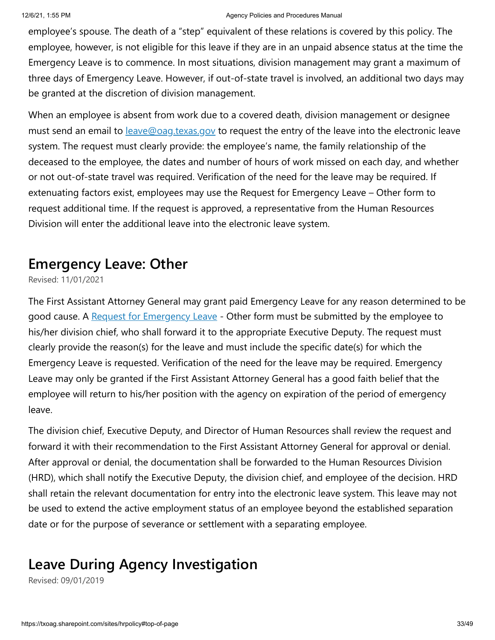#### 12/6/21, 1:55 PM Agency Policies and Procedures Manual

employee's spouse. The death of a "step" equivalent of these relations is covered by this policy. The employee, however, is not eligible for this leave if they are in an unpaid absence status at the time the Emergency Leave is to commence. In most situations, division management may grant a maximum of three days of Emergency Leave. However, if out-of-state travel is involved, an additional two days may be granted at the discretion of division management.

When an employee is absent from work due to a covered death, division management or designee must send an email to **[leave@oag.texas.gov](mailto:%20leave@oag.texas.gov)** to request the entry of the leave into the electronic leave system. The request must clearly provide: the employee's name, the family relationship of the deceased to the employee, the dates and number of hours of work missed on each day, and whether or not out-of-state travel was required. Verification of the need for the leave may be required. If extenuating factors exist, employees may use the Request for Emergency Leave – Other form to request additional time. If the request is approved, a representative from the Human Resources Division will enter the additional leave into the electronic leave system.

### **Emergency Leave: Other**

Revised: 11/01/2021

The First Assistant Attorney General may grant paid Emergency Leave for any reason determined to be good cause. A [Request for Emergency Leave](https://txoag.sharepoint.com/sites/signaturematrix/SitePages/EmergOther.aspx) - Other form must be submitted by the employee to his/her division chief, who shall forward it to the appropriate Executive Deputy. The request must clearly provide the reason(s) for the leave and must include the specific date(s) for which the Emergency Leave is requested. Verification of the need for the leave may be required. Emergency Leave may only be granted if the First Assistant Attorney General has a good faith belief that the employee will return to his/her position with the agency on expiration of the period of emergency leave.

The division chief, Executive Deputy, and Director of Human Resources shall review the request and forward it with their recommendation to the First Assistant Attorney General for approval or denial. After approval or denial, the documentation shall be forwarded to the Human Resources Division (HRD), which shall notify the Executive Deputy, the division chief, and employee of the decision. HRD shall retain the relevant documentation for entry into the electronic leave system. This leave may not be used to extend the active employment status of an employee beyond the established separation date or for the purpose of severance or settlement with a separating employee.

# **Leave During Agency Investigation**

Revised: 09/01/2019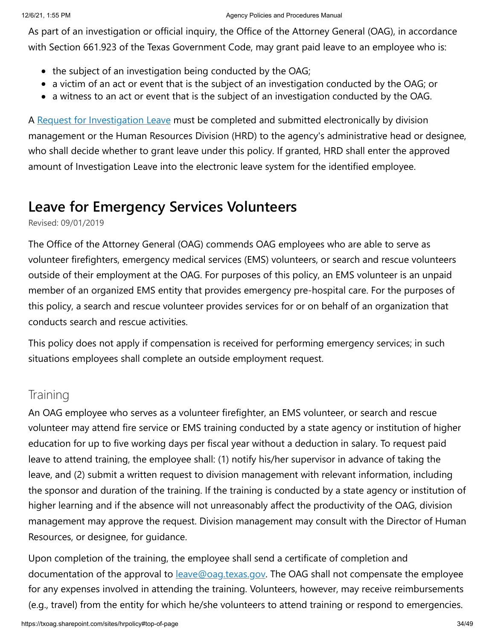As part of an investigation or official inquiry, the Office of the Attorney General (OAG), in accordance with Section 661.923 of the Texas Government Code, may grant paid leave to an employee who is:

- $\bullet$  the subject of an investigation being conducted by the OAG;
- a victim of an act or event that is the subject of an investigation conducted by the OAG; or
- $\bullet$  a witness to an act or event that is the subject of an investigation conducted by the OAG.

A [Request for Investigation Leave](https://txoag.sharepoint.com/:u:/r/sites/divisions/Human%20Resources/LeaveDuringAgencyInvestigationRequest.oft?csf=1&e=0TnWmz) must be completed and submitted electronically by division management or the Human Resources Division (HRD) to the agency's administrative head or designee, who shall decide whether to grant leave under this policy. If granted, HRD shall enter the approved amount of Investigation Leave into the electronic leave system for the identified employee.

## **Leave for Emergency Services Volunteers**

Revised: 09/01/2019

The Office of the Attorney General (OAG) commends OAG employees who are able to serve as volunteer firefighters, emergency medical services (EMS) volunteers, or search and rescue volunteers outside of their employment at the OAG. For purposes of this policy, an EMS volunteer is an unpaid member of an organized EMS entity that provides emergency pre-hospital care. For the purposes of this policy, a search and rescue volunteer provides services for or on behalf of an organization that conducts search and rescue activities.

This policy does not apply if compensation is received for performing emergency services; in such situations employees shall complete an outside employment request.

### **Training**

An OAG employee who serves as a volunteer firefighter, an EMS volunteer, or search and rescue volunteer may attend fire service or EMS training conducted by a state agency or institution of higher education for up to five working days per fiscal year without a deduction in salary. To request paid leave to attend training, the employee shall: (1) notify his/her supervisor in advance of taking the leave, and (2) submit a written request to division management with relevant information, including the sponsor and duration of the training. If the training is conducted by a state agency or institution of higher learning and if the absence will not unreasonably affect the productivity of the OAG, division management may approve the request. Division management may consult with the Director of Human Resources, or designee, for guidance.

Upon completion of the training, the employee shall send a certificate of completion and documentation of the approval to **[leave@oag.texas.gov](mailto:leave@oag.texas.gov).** The OAG shall not compensate the employee for any expenses involved in attending the training. Volunteers, however, may receive reimbursements (e.g., travel) from the entity for which he/she volunteers to attend training or respond to emergencies.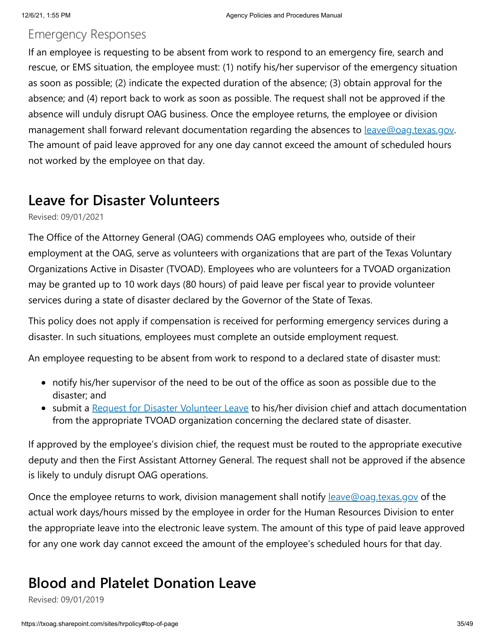#### Emergency Responses

If an employee is requesting to be absent from work to respond to an emergency fire, search and rescue, or EMS situation, the employee must: (1) notify his/her supervisor of the emergency situation as soon as possible; (2) indicate the expected duration of the absence; (3) obtain approval for the absence; and (4) report back to work as soon as possible. The request shall not be approved if the absence will unduly disrupt OAG business. Once the employee returns, the employee or division management shall forward relevant documentation regarding the absences to [leave@oag.texas.gov.](mailto:leave@oag.texas.gov) The amount of paid leave approved for any one day cannot exceed the amount of scheduled hours not worked by the employee on that day.

### **Leave for Disaster Volunteers**

Revised: 09/01/2021

The Office of the Attorney General (OAG) commends OAG employees who, outside of their employment at the OAG, serve as volunteers with organizations that are part of the Texas Voluntary Organizations Active in Disaster (TVOAD). Employees who are volunteers for a TVOAD organization may be granted up to 10 work days (80 hours) of paid leave per fiscal year to provide volunteer services during a state of disaster declared by the Governor of the State of Texas.

This policy does not apply if compensation is received for performing emergency services during a disaster. In such situations, employees must complete an outside employment request.

An employee requesting to be absent from work to respond to a declared state of disaster must:

- notify his/her supervisor of the need to be out of the office as soon as possible due to the disaster; and
- submit a [Request for Disaster Volunteer Leave](https://app.docusign.com/templates/details/3d4dec71-43bc-4ee3-8d06-f3321cf2712a) to his/her division chief and attach documentation from the appropriate TVOAD organization concerning the declared state of disaster.

If approved by the employee's division chief, the request must be routed to the appropriate executive deputy and then the First Assistant Attorney General. The request shall not be approved if the absence is likely to unduly disrupt OAG operations.

Once the employee returns to work, division management shall notify <u>[leave@oag.texas.gov](mailto:%20leave@oag.texas.gov)</u> of the actual work days/hours missed by the employee in order for the Human Resources Division to enter the appropriate leave into the electronic leave system. The amount of this type of paid leave approved for any one work day cannot exceed the amount of the employee's scheduled hours for that day.

# **Blood and Platelet Donation Leave**

Revised: 09/01/2019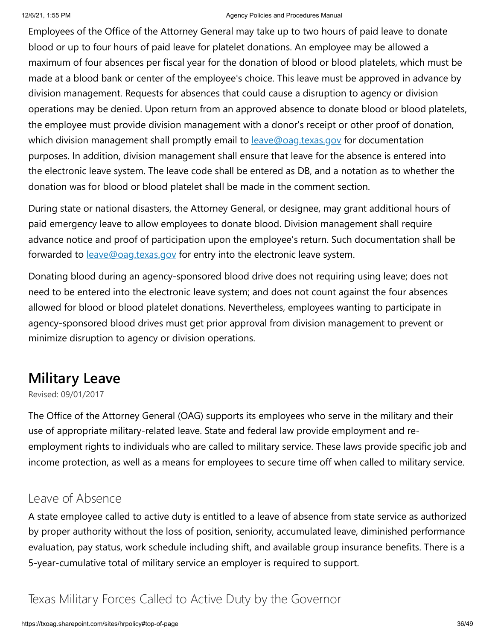Employees of the Office of the Attorney General may take up to two hours of paid leave to donate blood or up to four hours of paid leave for platelet donations. An employee may be allowed a maximum of four absences per fiscal year for the donation of blood or blood platelets, which must be made at a blood bank or center of the employee's choice. This leave must be approved in advance by division management. Requests for absences that could cause a disruption to agency or division operations may be denied. Upon return from an approved absence to donate blood or blood platelets, the employee must provide division management with a donor's receipt or other proof of donation, which division management shall promptly email to **[leave@oag.texas.gov](mailto:leave@oag.texas.gov)** for documentation purposes. In addition, division management shall ensure that leave for the absence is entered into the electronic leave system. The leave code shall be entered as DB, and a notation as to whether the donation was for blood or blood platelet shall be made in the comment section.

During state or national disasters, the Attorney General, or designee, may grant additional hours of paid emergency leave to allow employees to donate blood. Division management shall require advance notice and proof of participation upon the employee's return. Such documentation shall be forwarded to **[leave@oag.texas.gov](mailto:leave@oag.texas.gov)** for entry into the electronic leave system.

Donating blood during an agency-sponsored blood drive does not requiring using leave; does not need to be entered into the electronic leave system; and does not count against the four absences allowed for blood or blood platelet donations. Nevertheless, employees wanting to participate in agency-sponsored blood drives must get prior approval from division management to prevent or minimize disruption to agency or division operations.

# **Military Leave**

Revised: 09/01/2017

The Office of the Attorney General (OAG) supports its employees who serve in the military and their use of appropriate military-related leave. State and federal law provide employment and reemployment rights to individuals who are called to military service. These laws provide specific job and income protection, as well as a means for employees to secure time off when called to military service.

#### Leave of Absence

A state employee called to active duty is entitled to a leave of absence from state service as authorized by proper authority without the loss of position, seniority, accumulated leave, diminished performance evaluation, pay status, work schedule including shift, and available group insurance benefits. There is a 5-year-cumulative total of military service an employer is required to support.

### Texas Military Forces Called to Active Duty by the Governor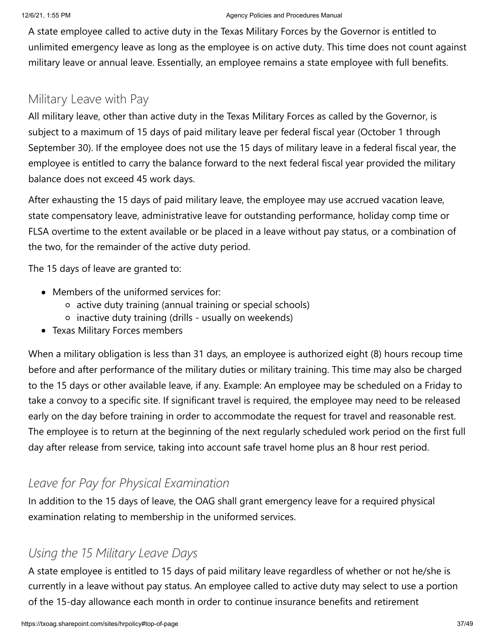#### 12/6/21, 1:55 PM Agency Policies and Procedures Manual

A state employee called to active duty in the Texas Military Forces by the Governor is entitled to unlimited emergency leave as long as the employee is on active duty. This time does not count against military leave or annual leave. Essentially, an employee remains a state employee with full benefits.

### Military Leave with Pay

All military leave, other than active duty in the Texas Military Forces as called by the Governor, is subject to a maximum of 15 days of paid military leave per federal fiscal year (October 1 through September 30). If the employee does not use the 15 days of military leave in a federal fiscal year, the employee is entitled to carry the balance forward to the next federal fiscal year provided the military balance does not exceed 45 work days.

After exhausting the 15 days of paid military leave, the employee may use accrued vacation leave, state compensatory leave, administrative leave for outstanding performance, holiday comp time or FLSA overtime to the extent available or be placed in a leave without pay status, or a combination of the two, for the remainder of the active duty period.

The 15 days of leave are granted to:

- Members of the uniformed services for:
	- active duty training (annual training or special schools)
	- $\circ$  inactive duty training (drills usually on weekends)
- Texas Military Forces members

When a military obligation is less than 31 days, an employee is authorized eight (8) hours recoup time before and after performance of the military duties or military training. This time may also be charged to the 15 days or other available leave, if any. Example: An employee may be scheduled on a Friday to take a convoy to a specific site. If significant travel is required, the employee may need to be released early on the day before training in order to accommodate the request for travel and reasonable rest. The employee is to return at the beginning of the next regularly scheduled work period on the first full day after release from service, taking into account safe travel home plus an 8 hour rest period.

### *Leave for Pay for Physical Examination*

In addition to the 15 days of leave, the OAG shall grant emergency leave for a required physical examination relating to membership in the uniformed services.

### *Using the 15 Military Leave Days*

A state employee is entitled to 15 days of paid military leave regardless of whether or not he/she is currently in a leave without pay status. An employee called to active duty may select to use a portion of the 15-day allowance each month in order to continue insurance benefits and retirement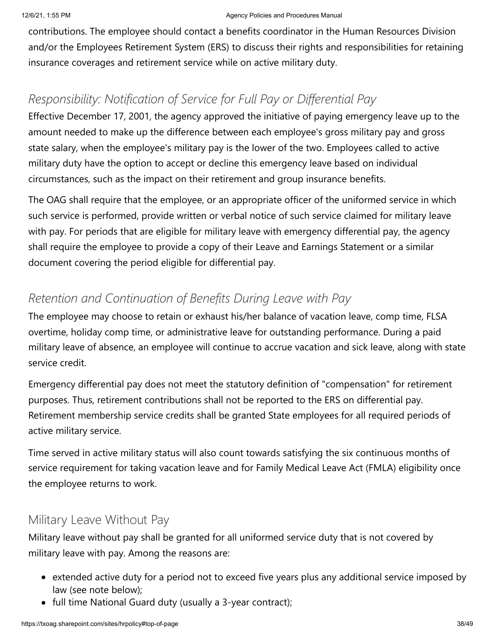contributions. The employee should contact a benefits coordinator in the Human Resources Division and/or the Employees Retirement System (ERS) to discuss their rights and responsibilities for retaining insurance coverages and retirement service while on active military duty.

### *Responsibility: Notification of Service for Full Pay or Differential Pay*

Effective December 17, 2001, the agency approved the initiative of paying emergency leave up to the amount needed to make up the difference between each employee's gross military pay and gross state salary, when the employee's military pay is the lower of the two. Employees called to active military duty have the option to accept or decline this emergency leave based on individual circumstances, such as the impact on their retirement and group insurance benefits.

The OAG shall require that the employee, or an appropriate officer of the uniformed service in which such service is performed, provide written or verbal notice of such service claimed for military leave with pay. For periods that are eligible for military leave with emergency differential pay, the agency shall require the employee to provide a copy of their Leave and Earnings Statement or a similar document covering the period eligible for differential pay.

### *Retention and Continuation of Benefits During Leave with Pay*

The employee may choose to retain or exhaust his/her balance of vacation leave, comp time, FLSA overtime, holiday comp time, or administrative leave for outstanding performance. During a paid military leave of absence, an employee will continue to accrue vacation and sick leave, along with state service credit.

Emergency differential pay does not meet the statutory definition of "compensation" for retirement purposes. Thus, retirement contributions shall not be reported to the ERS on differential pay. Retirement membership service credits shall be granted State employees for all required periods of active military service.

Time served in active military status will also count towards satisfying the six continuous months of service requirement for taking vacation leave and for Family Medical Leave Act (FMLA) eligibility once the employee returns to work.

### Military Leave Without Pay

Military leave without pay shall be granted for all uniformed service duty that is not covered by military leave with pay. Among the reasons are:

- extended active duty for a period not to exceed five years plus any additional service imposed by law (see note below);
- full time National Guard duty (usually a 3-year contract);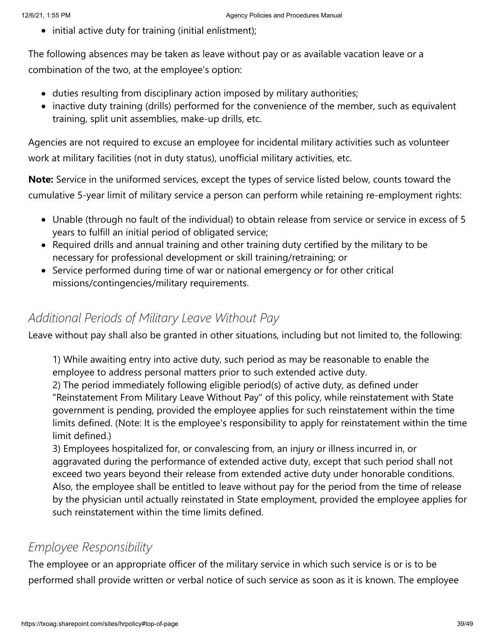• initial active duty for training (initial enlistment);

The following absences may be taken as leave without pay or as available vacation leave or a combination of the two, at the employee's option:

- duties resulting from disciplinary action imposed by military authorities;
- inactive duty training (drills) performed for the convenience of the member, such as equivalent training, split unit assemblies, make-up drills, etc.

Agencies are not required to excuse an employee for incidental military activities such as volunteer work at military facilities (not in duty status), unofficial military activities, etc.

**Note:** Service in the uniformed services, except the types of service listed below, counts toward the cumulative 5-year limit of military service a person can perform while retaining re-employment rights:

- Unable (through no fault of the individual) to obtain release from service or service in excess of 5 years to fulfill an initial period of obligated service;
- Required drills and annual training and other training duty certified by the military to be necessary for professional development or skill training/retraining; or
- Service performed during time of war or national emergency or for other critical missions/contingencies/military requirements.

### *Additional Periods of Military Leave Without Pay*

Leave without pay shall also be granted in other situations, including but not limited to, the following:

1) While awaiting entry into active duty, such period as may be reasonable to enable the employee to address personal matters prior to such extended active duty.

2) The period immediately following eligible period(s) of active duty, as defined under "Reinstatement From Military Leave Without Pay" of this policy, while reinstatement with State government is pending, provided the employee applies for such reinstatement within the time limits defined. (Note: It is the employee's responsibility to apply for reinstatement within the time limit defined.)

3) Employees hospitalized for, or convalescing from, an injury or illness incurred in, or aggravated during the performance of extended active duty, except that such period shall not exceed two years beyond their release from extended active duty under honorable conditions. Also, the employee shall be entitled to leave without pay for the period from the time of release by the physician until actually reinstated in State employment, provided the employee applies for such reinstatement within the time limits defined.

### *Employee Responsibility*

The employee or an appropriate officer of the military service in which such service is or is to be performed shall provide written or verbal notice of such service as soon as it is known. The employee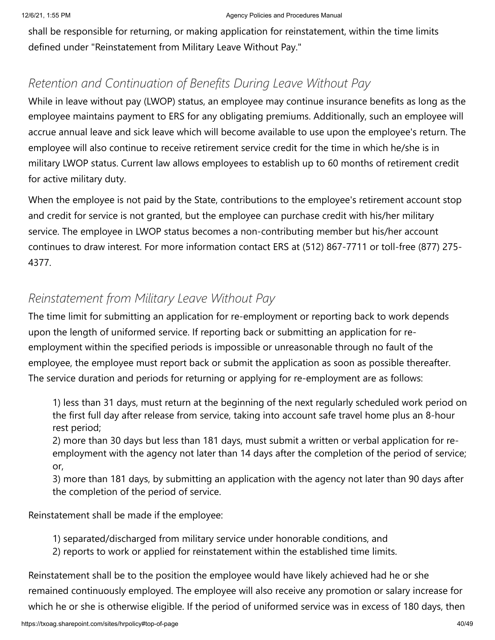shall be responsible for returning, or making application for reinstatement, within the time limits defined under "Reinstatement from Military Leave Without Pay."

### *Retention and Continuation of Benefits During Leave Without Pay*

While in leave without pay (LWOP) status, an employee may continue insurance benefits as long as the employee maintains payment to ERS for any obligating premiums. Additionally, such an employee will accrue annual leave and sick leave which will become available to use upon the employee's return. The employee will also continue to receive retirement service credit for the time in which he/she is in military LWOP status. Current law allows employees to establish up to 60 months of retirement credit for active military duty.

When the employee is not paid by the State, contributions to the employee's retirement account stop and credit for service is not granted, but the employee can purchase credit with his/her military service. The employee in LWOP status becomes a non-contributing member but his/her account continues to draw interest. For more information contact ERS at (512) 867-7711 or toll-free (877) 275- 4377.

### *Reinstatement from Military Leave Without Pay*

The time limit for submitting an application for re-employment or reporting back to work depends upon the length of uniformed service. If reporting back or submitting an application for reemployment within the specified periods is impossible or unreasonable through no fault of the employee, the employee must report back or submit the application as soon as possible thereafter. The service duration and periods for returning or applying for re-employment are as follows:

1) less than 31 days, must return at the beginning of the next regularly scheduled work period on the first full day after release from service, taking into account safe travel home plus an 8-hour rest period;

2) more than 30 days but less than 181 days, must submit a written or verbal application for reemployment with the agency not later than 14 days after the completion of the period of service; or,

3) more than 181 days, by submitting an application with the agency not later than 90 days after the completion of the period of service.

Reinstatement shall be made if the employee:

1) separated/discharged from military service under honorable conditions, and

2) reports to work or applied for reinstatement within the established time limits.

Reinstatement shall be to the position the employee would have likely achieved had he or she remained continuously employed. The employee will also receive any promotion or salary increase for which he or she is otherwise eligible. If the period of uniformed service was in excess of 180 days, then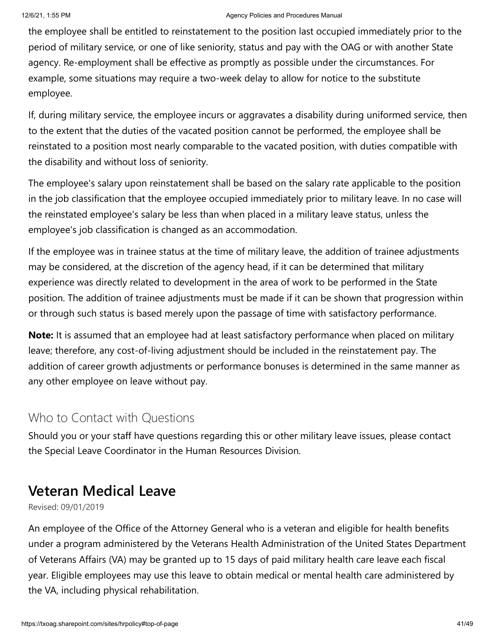#### 12/6/21, 1:55 PM **Agency Policies and Procedures Manual** Agency Policies and Procedures Manual

the employee shall be entitled to reinstatement to the position last occupied immediately prior to the period of military service, or one of like seniority, status and pay with the OAG or with another State agency. Re-employment shall be effective as promptly as possible under the circumstances. For example, some situations may require a two-week delay to allow for notice to the substitute employee.

If, during military service, the employee incurs or aggravates a disability during uniformed service, then to the extent that the duties of the vacated position cannot be performed, the employee shall be reinstated to a position most nearly comparable to the vacated position, with duties compatible with the disability and without loss of seniority.

The employee's salary upon reinstatement shall be based on the salary rate applicable to the position in the job classification that the employee occupied immediately prior to military leave. In no case will the reinstated employee's salary be less than when placed in a military leave status, unless the employee's job classification is changed as an accommodation.

If the employee was in trainee status at the time of military leave, the addition of trainee adjustments may be considered, at the discretion of the agency head, if it can be determined that military experience was directly related to development in the area of work to be performed in the State position. The addition of trainee adjustments must be made if it can be shown that progression within or through such status is based merely upon the passage of time with satisfactory performance.

**Note:** It is assumed that an employee had at least satisfactory performance when placed on military leave; therefore, any cost-of-living adjustment should be included in the reinstatement pay. The addition of career growth adjustments or performance bonuses is determined in the same manner as any other employee on leave without pay.

#### Who to Contact with Questions

Should you or your staff have questions regarding this or other military leave issues, please contact the Special Leave Coordinator in the Human Resources Division.

# **Veteran Medical Leave**

Revised: 09/01/2019

An employee of the Office of the Attorney General who is a veteran and eligible for health benefits under a program administered by the Veterans Health Administration of the United States Department of Veterans Affairs (VA) may be granted up to 15 days of paid military health care leave each fiscal year. Eligible employees may use this leave to obtain medical or mental health care administered by the VA, including physical rehabilitation.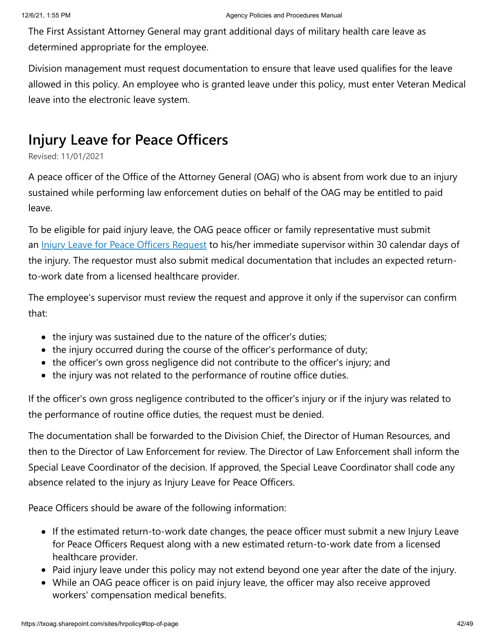The First Assistant Attorney General may grant additional days of military health care leave as determined appropriate for the employee.

Division management must request documentation to ensure that leave used qualifies for the leave allowed in this policy. An employee who is granted leave under this policy, must enter Veteran Medical leave into the electronic leave system.

# **Injury Leave for Peace Officers**

Revised: 11/01/2021

A peace officer of the Office of the Attorney General (OAG) who is absent from work due to an injury sustained while performing law enforcement duties on behalf of the OAG may be entitled to paid leave.

To be eligible for paid injury leave, the OAG peace officer or family representative must submit an *[Injury Leave for Peace Officers Request](https://app.docusign.com/templates/details/b0ad3d57-e2ef-4a0d-a10e-c30b9874526f)* to his/her immediate supervisor within 30 calendar days of the injury. The requestor must also submit medical documentation that includes an expected returnto-work date from a licensed healthcare provider.

The employee's supervisor must review the request and approve it only if the supervisor can confirm that:

- the injury was sustained due to the nature of the officer's duties;
- the injury occurred during the course of the officer's performance of duty;
- the officer's own gross negligence did not contribute to the officer's injury; and
- the injury was not related to the performance of routine office duties.

If the officer's own gross negligence contributed to the officer's injury or if the injury was related to the performance of routine office duties, the request must be denied.

The documentation shall be forwarded to the Division Chief, the Director of Human Resources, and then to the Director of Law Enforcement for review. The Director of Law Enforcement shall inform the Special Leave Coordinator of the decision. If approved, the Special Leave Coordinator shall code any absence related to the injury as Injury Leave for Peace Officers.

Peace Officers should be aware of the following information:

- If the estimated return-to-work date changes, the peace officer must submit a new Injury Leave for Peace Officers Request along with a new estimated return-to-work date from a licensed healthcare provider.
- Paid injury leave under this policy may not extend beyond one year after the date of the injury.
- While an OAG peace officer is on paid injury leave, the officer may also receive approved workers' compensation medical benefits.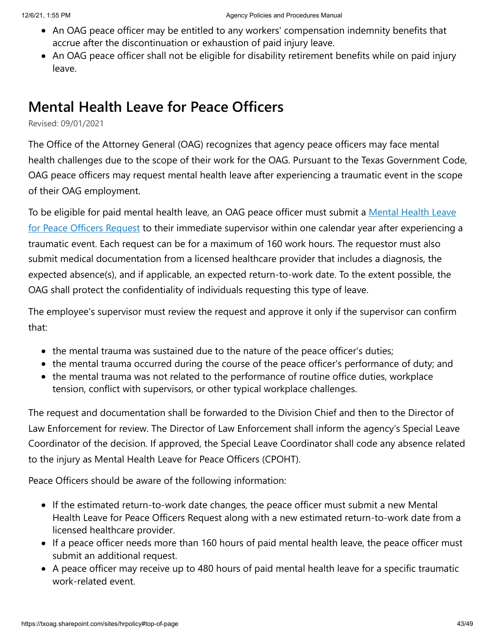- An OAG peace officer may be entitled to any workers' compensation indemnity benefits that accrue after the discontinuation or exhaustion of paid injury leave.
- An OAG peace officer shall not be eligible for disability retirement benefits while on paid injury leave.

# **Mental Health Leave for Peace Officers**

Revised: 09/01/2021

The Office of the Attorney General (OAG) recognizes that agency peace officers may face mental health challenges due to the scope of their work for the OAG. Pursuant to the Texas Government Code, OAG peace officers may request mental health leave after experiencing a traumatic event in the scope of their OAG employment.

[To be eligible for paid mental health leave, an OAG peace officer must submit a](https://app.docusign.com/templates/details/051392e4-6a5f-4a6a-82a6-65d6a16e4650) Mental Health Leave for Peace Officers Request to their immediate supervisor within one calendar year after experiencing a traumatic event. Each request can be for a maximum of 160 work hours. The requestor must also submit medical documentation from a licensed healthcare provider that includes a diagnosis, the expected absence(s), and if applicable, an expected return-to-work date. To the extent possible, the OAG shall protect the confidentiality of individuals requesting this type of leave.

The employee's supervisor must review the request and approve it only if the supervisor can confirm that:

- the mental trauma was sustained due to the nature of the peace officer's duties;
- the mental trauma occurred during the course of the peace officer's performance of duty; and
- the mental trauma was not related to the performance of routine office duties, workplace tension, conflict with supervisors, or other typical workplace challenges.

The request and documentation shall be forwarded to the Division Chief and then to the Director of Law Enforcement for review. The Director of Law Enforcement shall inform the agency's Special Leave Coordinator of the decision. If approved, the Special Leave Coordinator shall code any absence related to the injury as Mental Health Leave for Peace Officers (CPOHT).

Peace Officers should be aware of the following information:

- If the estimated return-to-work date changes, the peace officer must submit a new Mental Health Leave for Peace Officers Request along with a new estimated return-to-work date from a licensed healthcare provider.
- If a peace officer needs more than 160 hours of paid mental health leave, the peace officer must submit an additional request.
- A peace officer may receive up to 480 hours of paid mental health leave for a specific traumatic work-related event.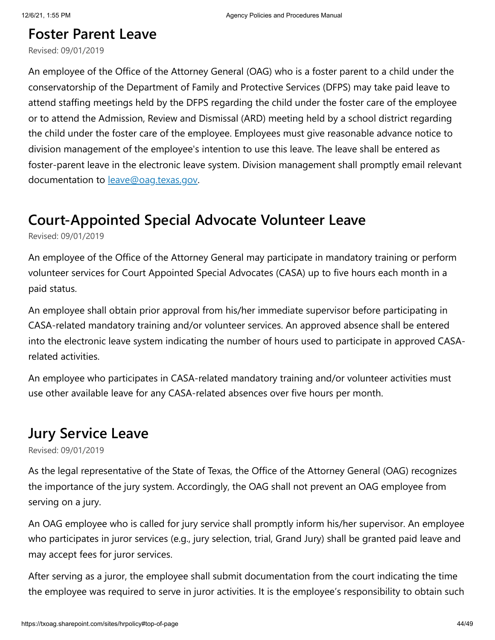### **Foster Parent Leave**

Revised: 09/01/2019

An employee of the Office of the Attorney General (OAG) who is a foster parent to a child under the conservatorship of the Department of Family and Protective Services (DFPS) may take paid leave to attend staffing meetings held by the DFPS regarding the child under the foster care of the employee or to attend the Admission, Review and Dismissal (ARD) meeting held by a school district regarding the child under the foster care of the employee. Employees must give reasonable advance notice to division management of the employee's intention to use this leave. The leave shall be entered as foster-parent leave in the electronic leave system. Division management shall promptly email relevant documentation to **[leave@oag.texas.gov](mailto:leave@oag.texas.gov)**.

# **Court-Appointed Special Advocate Volunteer Leave**

Revised: 09/01/2019

An employee of the Office of the Attorney General may participate in mandatory training or perform volunteer services for Court Appointed Special Advocates (CASA) up to five hours each month in a paid status.

An employee shall obtain prior approval from his/her immediate supervisor before participating in CASA-related mandatory training and/or volunteer services. An approved absence shall be entered into the electronic leave system indicating the number of hours used to participate in approved CASArelated activities.

An employee who participates in CASA-related mandatory training and/or volunteer activities must use other available leave for any CASA-related absences over five hours per month.

### **Jury Service Leave**

Revised: 09/01/2019

As the legal representative of the State of Texas, the Office of the Attorney General (OAG) recognizes the importance of the jury system. Accordingly, the OAG shall not prevent an OAG employee from serving on a jury.

An OAG employee who is called for jury service shall promptly inform his/her supervisor. An employee who participates in juror services (e.g., jury selection, trial, Grand Jury) shall be granted paid leave and may accept fees for juror services.

After serving as a juror, the employee shall submit documentation from the court indicating the time the employee was required to serve in juror activities. It is the employee's responsibility to obtain such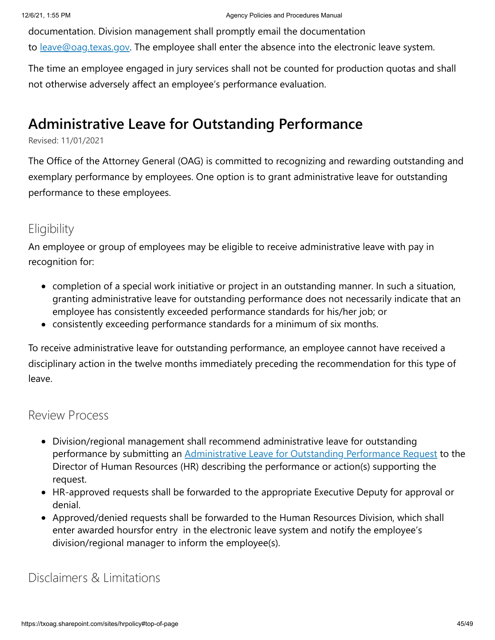documentation. Division management shall promptly email the documentation

to <u>[leave@oag.texas.gov](mailto:leave@oag.texas.gov)</u>. The employee shall enter the absence into the electronic leave system.

The time an employee engaged in jury services shall not be counted for production quotas and shall not otherwise adversely affect an employee's performance evaluation.

### **Administrative Leave for Outstanding Performance**

#### Revised: 11/01/2021

The Office of the Attorney General (OAG) is committed to recognizing and rewarding outstanding and exemplary performance by employees. One option is to grant administrative leave for outstanding performance to these employees.

### **Eligibility**

An employee or group of employees may be eligible to receive administrative leave with pay in recognition for:

- completion of a special work initiative or project in an outstanding manner. In such a situation, granting administrative leave for outstanding performance does not necessarily indicate that an employee has consistently exceeded performance standards for his/her job; or
- consistently exceeding performance standards for a minimum of six months.

To receive administrative leave for outstanding performance, an employee cannot have received a disciplinary action in the twelve months immediately preceding the recommendation for this type of leave.

#### Review Process

- Division/regional management shall recommend administrative leave for outstanding performance by submitting an **[Administrative Leave for Outstanding Performance Request](https://app2.docusign.com/templates/details/f36d7d0d-32c9-4408-84c7-46eee695fe94)** to the Director of Human Resources (HR) describing the performance or action(s) supporting the request.
- HR-approved requests shall be forwarded to the appropriate Executive Deputy for approval or denial.
- Approved/denied requests shall be forwarded to the Human Resources Division, which shall enter awarded hoursfor entry in the electronic leave system and notify the employee's division/regional manager to inform the employee(s).

Disclaimers & Limitations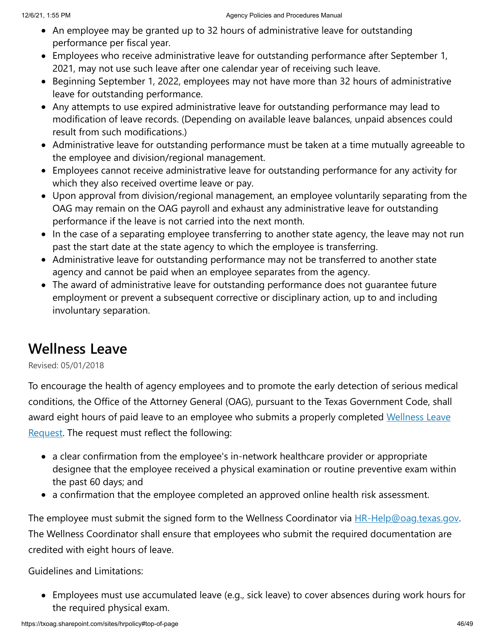- An employee may be granted up to 32 hours of administrative leave for outstanding performance per fiscal year.
- Employees who receive administrative leave for outstanding performance after September 1, 2021, may not use such leave after one calendar year of receiving such leave.
- Beginning September 1, 2022, employees may not have more than 32 hours of administrative leave for outstanding performance.
- Any attempts to use expired administrative leave for outstanding performance may lead to modification of leave records. (Depending on available leave balances, unpaid absences could result from such modifications.)
- Administrative leave for outstanding performance must be taken at a time mutually agreeable to the employee and division/regional management.
- Employees cannot receive administrative leave for outstanding performance for any activity for which they also received overtime leave or pay.
- Upon approval from division/regional management, an employee voluntarily separating from the OAG may remain on the OAG payroll and exhaust any administrative leave for outstanding performance if the leave is not carried into the next month.
- In the case of a separating employee transferring to another state agency, the leave may not run past the start date at the state agency to which the employee is transferring.
- Administrative leave for outstanding performance may not be transferred to another state agency and cannot be paid when an employee separates from the agency.
- The award of administrative leave for outstanding performance does not guarantee future employment or prevent a subsequent corrective or disciplinary action, up to and including involuntary separation.

### **Wellness Leave**

Revised: 05/01/2018

To encourage the health of agency employees and to promote the early detection of serious medical conditions, the Office of the Attorney General (OAG), pursuant to the Texas Government Code, shall [award eight hours of paid leave to an employee who submits a properly completed](https://txoag.sharepoint.com/:b:/r/sites/divisions/Human%20Resources/WellnessLeaveRequest.pdf?csf=1&e=q0XZKx) Wellness Leave Request. The request must reflect the following:

- a clear confirmation from the employee's in-network healthcare provider or appropriate designee that the employee received a physical examination or routine preventive exam within the past 60 days; and
- a confirmation that the employee completed an approved online health risk assessment.

The employee must submit the signed form to the Wellness Coordinator via **[HR-Help@oag.texas.gov.](mailto:%20HR-Help@oag.texas.gov)** The Wellness Coordinator shall ensure that employees who submit the required documentation are credited with eight hours of leave.

Guidelines and Limitations:

Employees must use accumulated leave (e.g., sick leave) to cover absences during work hours for the required physical exam.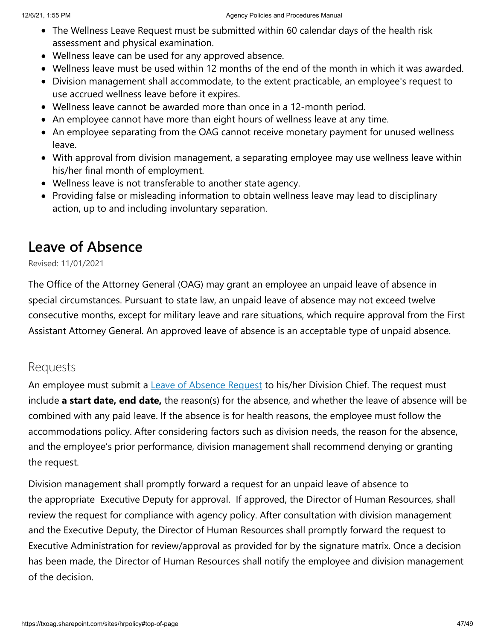- The Wellness Leave Request must be submitted within 60 calendar days of the health risk assessment and physical examination.
- Wellness leave can be used for any approved absence.
- Wellness leave must be used within 12 months of the end of the month in which it was awarded.
- Division management shall accommodate, to the extent practicable, an employee's request to use accrued wellness leave before it expires.
- Wellness leave cannot be awarded more than once in a 12-month period.
- An employee cannot have more than eight hours of wellness leave at any time.
- An employee separating from the OAG cannot receive monetary payment for unused wellness leave.
- With approval from division management, a separating employee may use wellness leave within his/her final month of employment.
- Wellness leave is not transferable to another state agency.
- Providing false or misleading information to obtain wellness leave may lead to disciplinary action, up to and including involuntary separation.

# **Leave of Absence**

Revised: 11/01/2021

The Office of the Attorney General (OAG) may grant an employee an unpaid leave of absence in special circumstances. Pursuant to state law, an unpaid leave of absence may not exceed twelve consecutive months, except for military leave and rare situations, which require approval from the First Assistant Attorney General. An approved leave of absence is an acceptable type of unpaid absence.

### Requests

An employee must submit a **[Leave of Absence Request](https://txoag.sharepoint.com/:w:/r/sites/divisions/Human%20Resources/RequestLeaveAbsence.docx?d=w65547ba7f94147fdbb3438ab13452f91&csf=1&e=aOoLEg)** to his/her Division Chief. The request must include **a start date, end date,** the reason(s) for the absence, and whether the leave of absence will be combined with any paid leave. If the absence is for health reasons, the employee must follow the accommodations policy. After considering factors such as division needs, the reason for the absence, and the employee's prior performance, division management shall recommend denying or granting the request.

Division management shall promptly forward a request for an unpaid leave of absence to the appropriate Executive Deputy for approval. If approved, the Director of Human Resources, shall review the request for compliance with agency policy. After consultation with division management and the Executive Deputy, the Director of Human Resources shall promptly forward the request to Executive Administration for review/approval as provided for by the signature matrix. Once a decision has been made, the Director of Human Resources shall notify the employee and division management of the decision.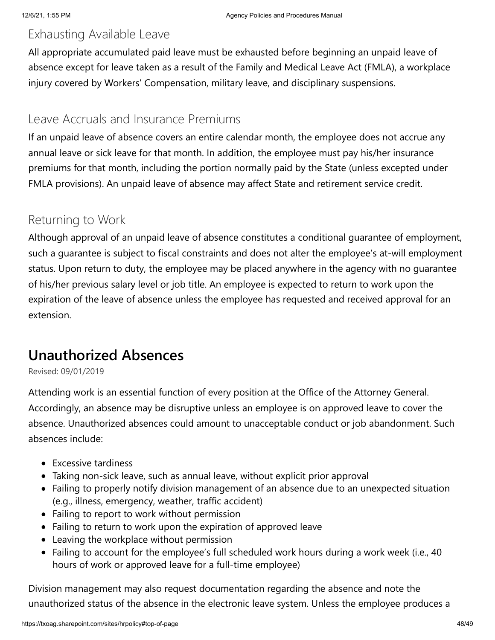### Exhausting Available Leave

All appropriate accumulated paid leave must be exhausted before beginning an unpaid leave of absence except for leave taken as a result of the Family and Medical Leave Act (FMLA), a workplace injury covered by Workers' Compensation, military leave, and disciplinary suspensions.

### Leave Accruals and Insurance Premiums

If an unpaid leave of absence covers an entire calendar month, the employee does not accrue any annual leave or sick leave for that month. In addition, the employee must pay his/her insurance premiums for that month, including the portion normally paid by the State (unless excepted under FMLA provisions). An unpaid leave of absence may affect State and retirement service credit.

### Returning to Work

Although approval of an unpaid leave of absence constitutes a conditional guarantee of employment, such a guarantee is subject to fiscal constraints and does not alter the employee's at-will employment status. Upon return to duty, the employee may be placed anywhere in the agency with no guarantee of his/her previous salary level or job title. An employee is expected to return to work upon the expiration of the leave of absence unless the employee has requested and received approval for an extension.

# **Unauthorized Absences**

Revised: 09/01/2019

Attending work is an essential function of every position at the Office of the Attorney General. Accordingly, an absence may be disruptive unless an employee is on approved leave to cover the absence. Unauthorized absences could amount to unacceptable conduct or job abandonment. Such absences include:

- Excessive tardiness
- Taking non-sick leave, such as annual leave, without explicit prior approval
- Failing to properly notify division management of an absence due to an unexpected situation (e.g., illness, emergency, weather, traffic accident)
- Failing to report to work without permission
- Failing to return to work upon the expiration of approved leave
- Leaving the workplace without permission
- Failing to account for the employee's full scheduled work hours during a work week (i.e., 40 hours of work or approved leave for a full-time employee)

Division management may also request documentation regarding the absence and note the unauthorized status of the absence in the electronic leave system. Unless the employee produces a